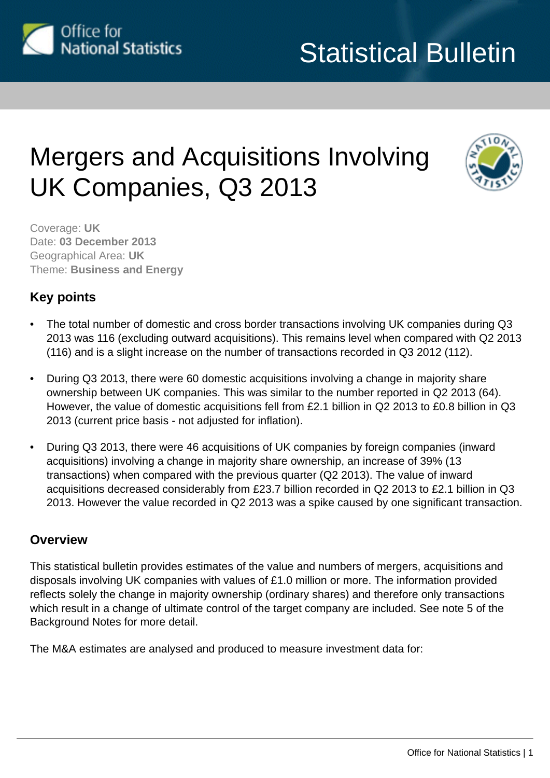

# Mergers and Acquisitions Involving UK Companies, Q3 2013



Coverage: **UK** Date: **03 December 2013** Geographical Area: **UK** Theme: **Business and Energy**

## **Key points**

- The total number of domestic and cross border transactions involving UK companies during Q3 2013 was 116 (excluding outward acquisitions). This remains level when compared with Q2 2013 (116) and is a slight increase on the number of transactions recorded in Q3 2012 (112).
- During Q3 2013, there were 60 domestic acquisitions involving a change in majority share ownership between UK companies. This was similar to the number reported in Q2 2013 (64). However, the value of domestic acquisitions fell from £2.1 billion in Q2 2013 to £0.8 billion in Q3 2013 (current price basis - not adjusted for inflation).
- During Q3 2013, there were 46 acquisitions of UK companies by foreign companies (inward acquisitions) involving a change in majority share ownership, an increase of 39% (13 transactions) when compared with the previous quarter (Q2 2013). The value of inward acquisitions decreased considerably from £23.7 billion recorded in Q2 2013 to £2.1 billion in Q3 2013. However the value recorded in Q2 2013 was a spike caused by one significant transaction.

## **Overview**

This statistical bulletin provides estimates of the value and numbers of mergers, acquisitions and disposals involving UK companies with values of £1.0 million or more. The information provided reflects solely the change in majority ownership (ordinary shares) and therefore only transactions which result in a change of ultimate control of the target company are included. See note 5 of the Background Notes for more detail.

The M&A estimates are analysed and produced to measure investment data for: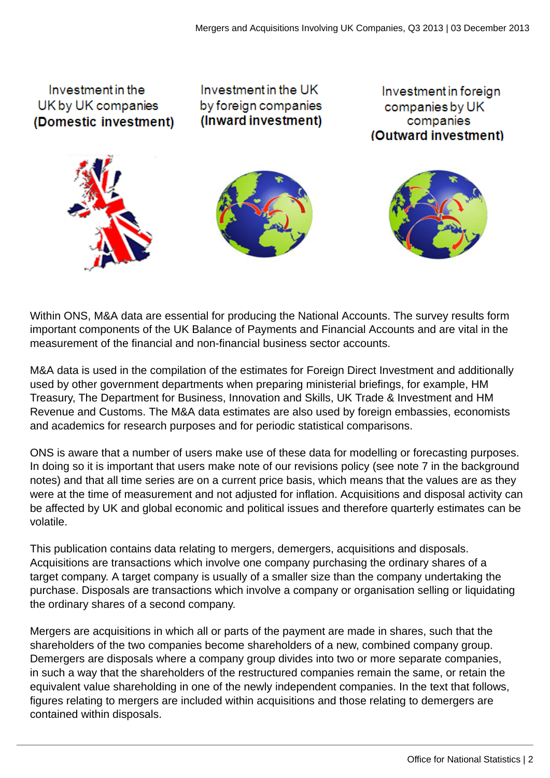

Within ONS, M&A data are essential for producing the National Accounts. The survey results form important components of the UK Balance of Payments and Financial Accounts and are vital in the measurement of the financial and non-financial business sector accounts.

M&A data is used in the compilation of the estimates for Foreign Direct Investment and additionally used by other government departments when preparing ministerial briefings, for example, HM Treasury, The Department for Business, Innovation and Skills, UK Trade & Investment and HM Revenue and Customs. The M&A data estimates are also used by foreign embassies, economists and academics for research purposes and for periodic statistical comparisons.

ONS is aware that a number of users make use of these data for modelling or forecasting purposes. In doing so it is important that users make note of our revisions policy (see note 7 in the background notes) and that all time series are on a current price basis, which means that the values are as they were at the time of measurement and not adjusted for inflation. Acquisitions and disposal activity can be affected by UK and global economic and political issues and therefore quarterly estimates can be volatile.

This publication contains data relating to mergers, demergers, acquisitions and disposals. Acquisitions are transactions which involve one company purchasing the ordinary shares of a target company. A target company is usually of a smaller size than the company undertaking the purchase. Disposals are transactions which involve a company or organisation selling or liquidating the ordinary shares of a second company.

Mergers are acquisitions in which all or parts of the payment are made in shares, such that the shareholders of the two companies become shareholders of a new, combined company group. Demergers are disposals where a company group divides into two or more separate companies, in such a way that the shareholders of the restructured companies remain the same, or retain the equivalent value shareholding in one of the newly independent companies. In the text that follows, figures relating to mergers are included within acquisitions and those relating to demergers are contained within disposals.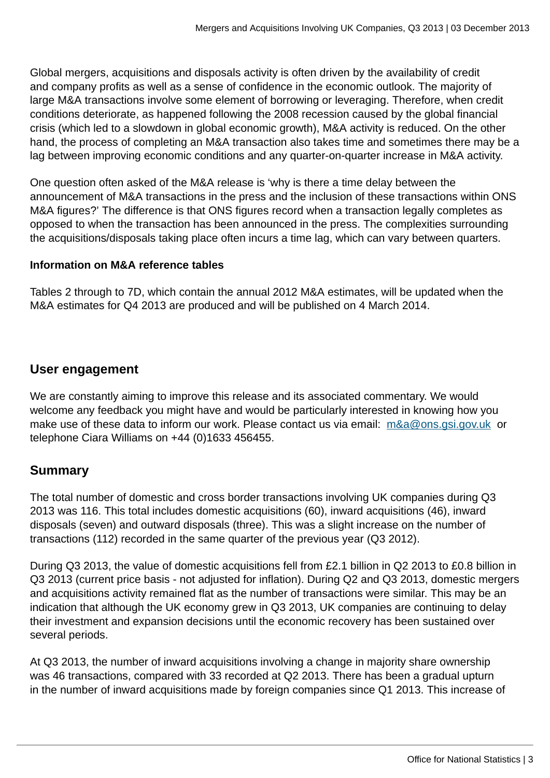Global mergers, acquisitions and disposals activity is often driven by the availability of credit and company profits as well as a sense of confidence in the economic outlook. The majority of large M&A transactions involve some element of borrowing or leveraging. Therefore, when credit conditions deteriorate, as happened following the 2008 recession caused by the global financial crisis (which led to a slowdown in global economic growth), M&A activity is reduced. On the other hand, the process of completing an M&A transaction also takes time and sometimes there may be a lag between improving economic conditions and any quarter-on-quarter increase in M&A activity.

One question often asked of the M&A release is 'why is there a time delay between the announcement of M&A transactions in the press and the inclusion of these transactions within ONS M&A figures?' The difference is that ONS figures record when a transaction legally completes as opposed to when the transaction has been announced in the press. The complexities surrounding the acquisitions/disposals taking place often incurs a time lag, which can vary between quarters.

## **Information on M&A reference tables**

Tables 2 through to 7D, which contain the annual 2012 M&A estimates, will be updated when the M&A estimates for Q4 2013 are produced and will be published on 4 March 2014.

## **User engagement**

We are constantly aiming to improve this release and its associated commentary. We would welcome any feedback you might have and would be particularly interested in knowing how you make use of these data to inform our work. Please contact us via email: [m&a@ons.gsi.gov.uk](mailto:m&a@ons.gsi.gov.uk) or telephone Ciara Williams on +44 (0)1633 456455.

## **Summary**

The total number of domestic and cross border transactions involving UK companies during Q3 2013 was 116. This total includes domestic acquisitions (60), inward acquisitions (46), inward disposals (seven) and outward disposals (three). This was a slight increase on the number of transactions (112) recorded in the same quarter of the previous year (Q3 2012).

During Q3 2013, the value of domestic acquisitions fell from £2.1 billion in Q2 2013 to £0.8 billion in Q3 2013 (current price basis - not adjusted for inflation). During Q2 and Q3 2013, domestic mergers and acquisitions activity remained flat as the number of transactions were similar. This may be an indication that although the UK economy grew in Q3 2013, UK companies are continuing to delay their investment and expansion decisions until the economic recovery has been sustained over several periods.

At Q3 2013, the number of inward acquisitions involving a change in majority share ownership was 46 transactions, compared with 33 recorded at Q2 2013. There has been a gradual upturn in the number of inward acquisitions made by foreign companies since Q1 2013. This increase of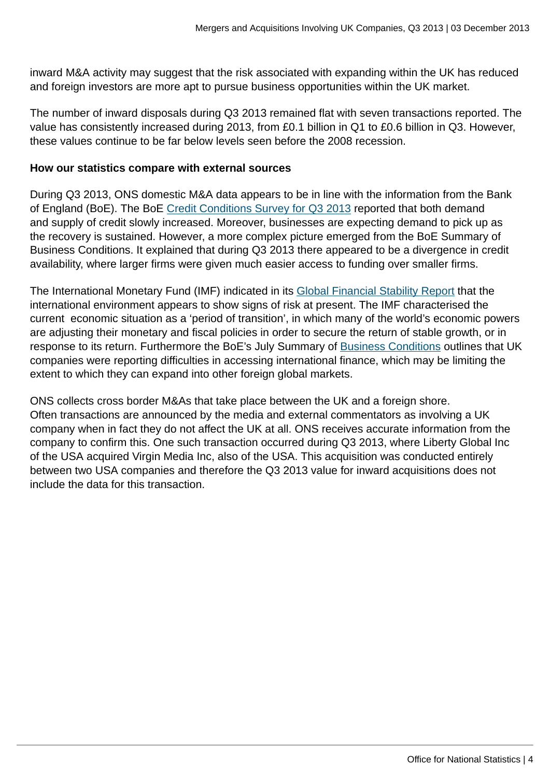inward M&A activity may suggest that the risk associated with expanding within the UK has reduced and foreign investors are more apt to pursue business opportunities within the UK market.

The number of inward disposals during Q3 2013 remained flat with seven transactions reported. The value has consistently increased during 2013, from £0.1 billion in Q1 to £0.6 billion in Q3. However, these values continue to be far below levels seen before the 2008 recession.

#### **How our statistics compare with external sources**

During Q3 2013, ONS domestic M&A data appears to be in line with the information from the Bank of England (BoE). The BoE [Credit Conditions Survey for Q3 2013](http://www.bankofengland.co.uk/publications/Documents/other/monetary/ccs/creditconditionssurvey130703.pdf) reported that both demand and supply of credit slowly increased. Moreover, businesses are expecting demand to pick up as the recovery is sustained. However, a more complex picture emerged from the BoE Summary of Business Conditions. It explained that during Q3 2013 there appeared to be a divergence in credit availability, where larger firms were given much easier access to funding over smaller firms.

The International Monetary Fund (IMF) indicated in its [Global Financial Stability Report](http://www.imf.org/external/pubs/ft/gfsr/2013/02/index.htm) that the international environment appears to show signs of risk at present. The IMF characterised the current economic situation as a 'period of transition', in which many of the world's economic powers are adjusting their monetary and fiscal policies in order to secure the return of stable growth, or in response to its return. Furthermore the BoE's July Summary of [Business Conditions](http://www.bankofengland.co.uk/publications/Documents/agentssummary/agsum13jul.pdf) outlines that UK companies were reporting difficulties in accessing international finance, which may be limiting the extent to which they can expand into other foreign global markets.

ONS collects cross border M&As that take place between the UK and a foreign shore. Often transactions are announced by the media and external commentators as involving a UK company when in fact they do not affect the UK at all. ONS receives accurate information from the company to confirm this. One such transaction occurred during Q3 2013, where Liberty Global Inc of the USA acquired Virgin Media Inc, also of the USA. This acquisition was conducted entirely between two USA companies and therefore the Q3 2013 value for inward acquisitions does not include the data for this transaction.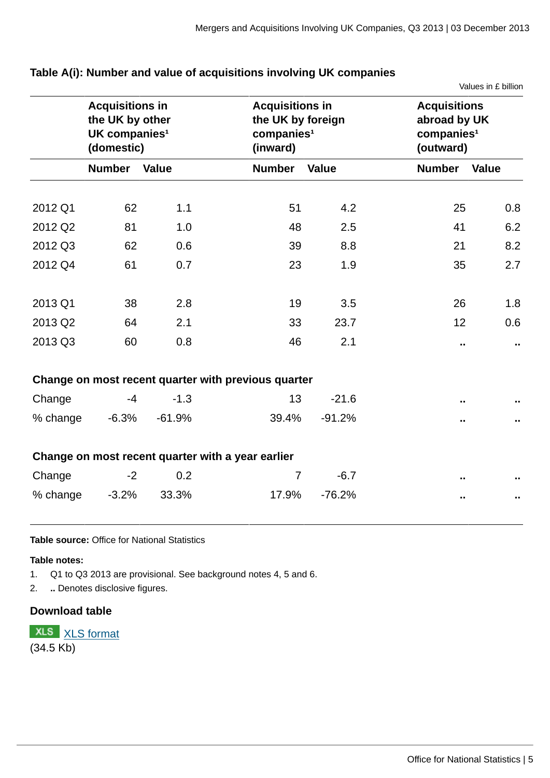| Table A(i): Number and value of acquisitions involving UK companies |  |  |
|---------------------------------------------------------------------|--|--|
|                                                                     |  |  |

Values in £ billion

|          | <b>Acquisitions in</b><br>the UK by other<br>UK companies <sup>1</sup><br>(domestic) |              | (inward)                                            | <b>Acquisitions in</b><br>the UK by foreign<br>companies <sup>1</sup> |               | <b>Acquisitions</b><br>abroad by UK<br>companies <sup>1</sup><br>(outward) |  |  |
|----------|--------------------------------------------------------------------------------------|--------------|-----------------------------------------------------|-----------------------------------------------------------------------|---------------|----------------------------------------------------------------------------|--|--|
|          | <b>Number</b>                                                                        | <b>Value</b> | <b>Number</b>                                       | <b>Value</b>                                                          | <b>Number</b> | <b>Value</b>                                                               |  |  |
| 2012 Q1  | 62                                                                                   | 1.1          | 51                                                  | 4.2                                                                   | 25            | 0.8                                                                        |  |  |
| 2012 Q2  | 81                                                                                   | 1.0          | 48                                                  | 2.5                                                                   | 41            | 6.2                                                                        |  |  |
| 2012 Q3  | 62                                                                                   | 0.6          | 39                                                  | 8.8                                                                   | 21            | 8.2                                                                        |  |  |
| 2012 Q4  | 61                                                                                   | 0.7          | 23                                                  | 1.9                                                                   | 35            | 2.7                                                                        |  |  |
| 2013 Q1  | 38                                                                                   | 2.8          | 19                                                  | 3.5                                                                   | 26            | 1.8                                                                        |  |  |
| 2013 Q2  | 64                                                                                   | 2.1          | 33                                                  | 23.7                                                                  | 12            | 0.6                                                                        |  |  |
| 2013 Q3  | 60                                                                                   | 0.8          | 46                                                  | 2.1                                                                   | Ω.            | π.                                                                         |  |  |
|          |                                                                                      |              | Change on most recent quarter with previous quarter |                                                                       |               |                                                                            |  |  |
| Change   | $-4$                                                                                 | $-1.3$       | 13                                                  | $-21.6$                                                               |               |                                                                            |  |  |
| % change | $-6.3%$                                                                              | $-61.9%$     | 39.4%                                               | $-91.2%$                                                              | π.            |                                                                            |  |  |
|          |                                                                                      |              | Change on most recent quarter with a year earlier   |                                                                       |               |                                                                            |  |  |
| Change   | $-2$                                                                                 | 0.2          | $\overline{7}$                                      | $-6.7$                                                                |               |                                                                            |  |  |
| % change | $-3.2%$                                                                              | 33.3%        | 17.9%                                               | $-76.2%$                                                              |               | ω.                                                                         |  |  |

#### **Table source:** Office for National Statistics

**Table notes:**

1. Q1 to Q3 2013 are provisional. See background notes 4, 5 and 6.

2. **..** Denotes disclosive figures.

#### **Download table**

**XLS** [XLS format](http://www.ons.gov.uk:80/ons/rel/international-transactions/mergers-and-acquisitions-involving-uk-companies/q3-2013/prt-m-a-table-a.xls) (34.5 Kb)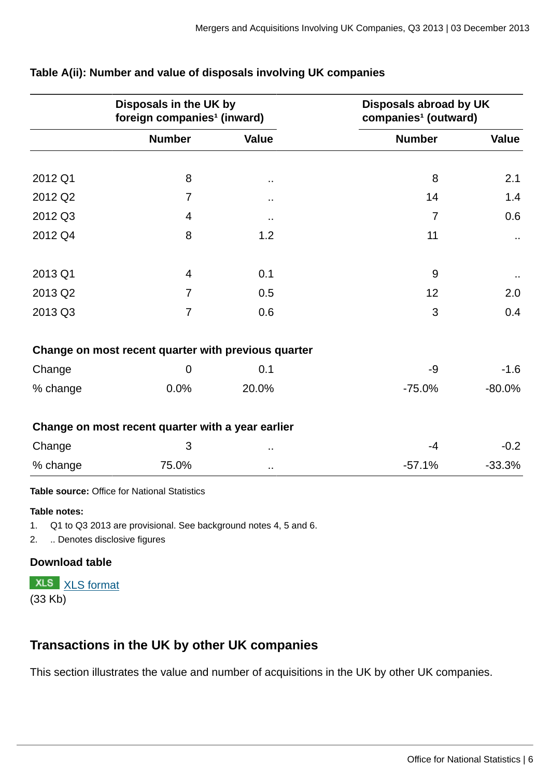|          | Disposals in the UK by<br>foreign companies <sup>1</sup> (inward) |              | Disposals abroad by UK<br>companies <sup>1</sup> (outward) |          |
|----------|-------------------------------------------------------------------|--------------|------------------------------------------------------------|----------|
|          | <b>Number</b>                                                     | <b>Value</b> | <b>Number</b>                                              | Value    |
|          |                                                                   |              |                                                            |          |
| 2012 Q1  | 8                                                                 | $\sim$       | 8                                                          | 2.1      |
| 2012 Q2  | 7                                                                 | Ω,           | 14                                                         | 1.4      |
| 2012 Q3  | $\overline{4}$                                                    | $\sim$       | $\overline{7}$                                             | 0.6      |
| 2012 Q4  | 8                                                                 | 1.2          | 11                                                         | $\sim$   |
| 2013 Q1  | $\overline{4}$                                                    | 0.1          | 9                                                          |          |
| 2013 Q2  | $\overline{7}$                                                    | 0.5          | 12                                                         | 2.0      |
| 2013 Q3  | $\overline{7}$                                                    | 0.6          | 3                                                          | 0.4      |
|          | Change on most recent quarter with previous quarter               |              |                                                            |          |
| Change   | $\mathbf 0$                                                       | 0.1          | -9                                                         | $-1.6$   |
| % change | 0.0%                                                              | 20.0%        | $-75.0%$                                                   | $-80.0%$ |
|          | Change on most recent quarter with a year earlier                 |              |                                                            |          |
| Change   | 3                                                                 | ٠.           | $-4$                                                       | $-0.2$   |
| % change | 75.0%                                                             |              | $-57.1%$                                                   | $-33.3%$ |

## **Table A(ii): Number and value of disposals involving UK companies**

**Table source:** Office for National Statistics

#### **Table notes:**

1. Q1 to Q3 2013 are provisional. See background notes 4, 5 and 6.

2. .. Denotes disclosive figures

## **Download table**

**XLS** [XLS format](http://www.ons.gov.uk:80/ons/rel/international-transactions/mergers-and-acquisitions-involving-uk-companies/q3-2013/prt-m-a-table-aii.xls) (33 Kb)

## **Transactions in the UK by other UK companies**

This section illustrates the value and number of acquisitions in the UK by other UK companies.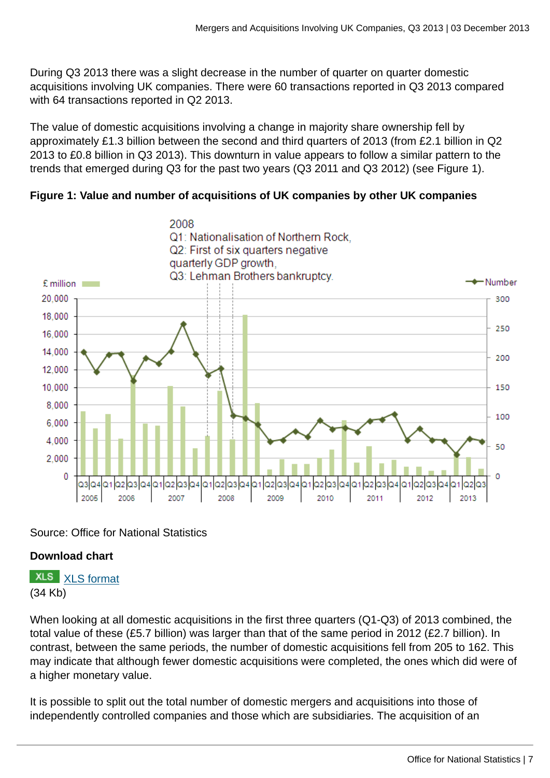During Q3 2013 there was a slight decrease in the number of quarter on quarter domestic acquisitions involving UK companies. There were 60 transactions reported in Q3 2013 compared with 64 transactions reported in Q2 2013.

The value of domestic acquisitions involving a change in majority share ownership fell by approximately £1.3 billion between the second and third quarters of 2013 (from £2.1 billion in Q2 2013 to £0.8 billion in Q3 2013). This downturn in value appears to follow a similar pattern to the trends that emerged during Q3 for the past two years (Q3 2011 and Q3 2012) (see Figure 1).





## Source: Office for National Statistics

## **Download chart**

**XLS** [XLS format](http://www.ons.gov.uk:80/ons/rel/international-transactions/mergers-and-acquisitions-involving-uk-companies/q3-2013/chd-m-a-fig-1.xls) (34 Kb)

When looking at all domestic acquisitions in the first three quarters (Q1-Q3) of 2013 combined, the total value of these (£5.7 billion) was larger than that of the same period in 2012 (£2.7 billion). In contrast, between the same periods, the number of domestic acquisitions fell from 205 to 162. This may indicate that although fewer domestic acquisitions were completed, the ones which did were of a higher monetary value.

It is possible to split out the total number of domestic mergers and acquisitions into those of independently controlled companies and those which are subsidiaries. The acquisition of an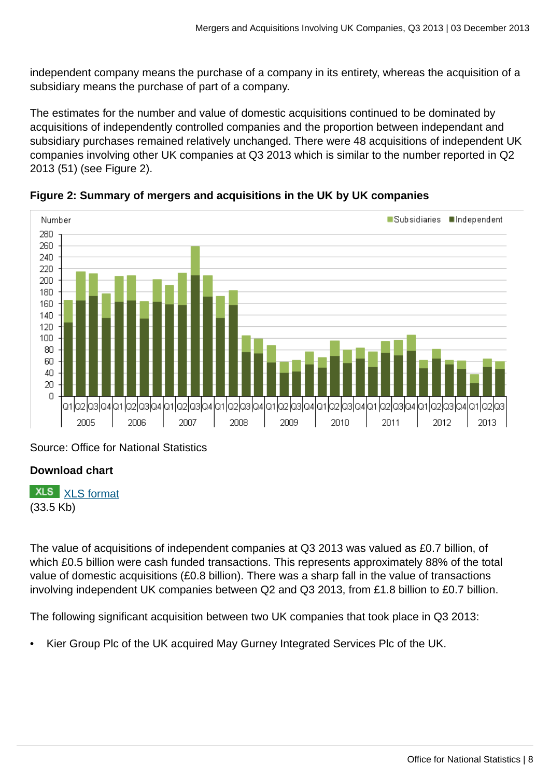independent company means the purchase of a company in its entirety, whereas the acquisition of a subsidiary means the purchase of part of a company.

The estimates for the number and value of domestic acquisitions continued to be dominated by acquisitions of independently controlled companies and the proportion between independant and subsidiary purchases remained relatively unchanged. There were 48 acquisitions of independent UK companies involving other UK companies at Q3 2013 which is similar to the number reported in Q2 2013 (51) (see Figure 2).



**Figure 2: Summary of mergers and acquisitions in the UK by UK companies**

Source: Office for National Statistics

## **Download chart**

**XLS** [XLS format](http://www.ons.gov.uk:80/ons/rel/international-transactions/mergers-and-acquisitions-involving-uk-companies/q3-2013/chd-m-a-fig-2.xls) (33.5 Kb)

The value of acquisitions of independent companies at Q3 2013 was valued as £0.7 billion, of which £0.5 billion were cash funded transactions. This represents approximately 88% of the total value of domestic acquisitions (£0.8 billion). There was a sharp fall in the value of transactions involving independent UK companies between Q2 and Q3 2013, from £1.8 billion to £0.7 billion.

The following significant acquisition between two UK companies that took place in Q3 2013:

• Kier Group Plc of the UK acquired May Gurney Integrated Services Plc of the UK.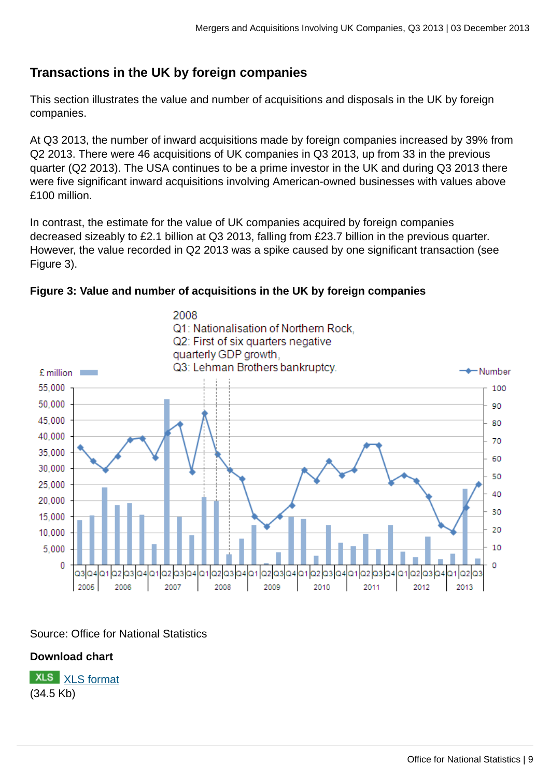## **Transactions in the UK by foreign companies**

This section illustrates the value and number of acquisitions and disposals in the UK by foreign companies.

At Q3 2013, the number of inward acquisitions made by foreign companies increased by 39% from Q2 2013. There were 46 acquisitions of UK companies in Q3 2013, up from 33 in the previous quarter (Q2 2013). The USA continues to be a prime investor in the UK and during Q3 2013 there were five significant inward acquisitions involving American-owned businesses with values above £100 million.

In contrast, the estimate for the value of UK companies acquired by foreign companies decreased sizeably to £2.1 billion at Q3 2013, falling from £23.7 billion in the previous quarter. However, the value recorded in Q2 2013 was a spike caused by one significant transaction (see Figure 3).





## Source: Office for National Statistics

## **Download chart**

**XLS** [XLS format](http://www.ons.gov.uk:80/ons/rel/international-transactions/mergers-and-acquisitions-involving-uk-companies/q3-2013/chd-m-a-fig-3.xls) (34.5 Kb)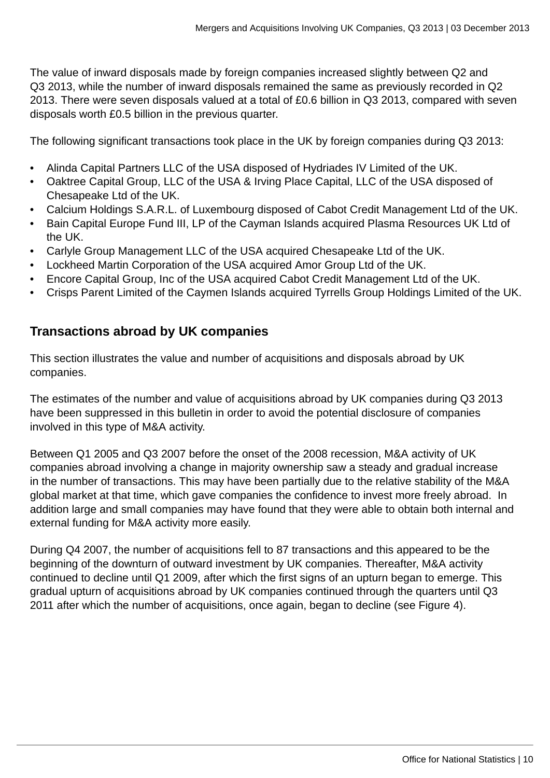The value of inward disposals made by foreign companies increased slightly between Q2 and Q3 2013, while the number of inward disposals remained the same as previously recorded in Q2 2013. There were seven disposals valued at a total of £0.6 billion in Q3 2013, compared with seven disposals worth £0.5 billion in the previous quarter.

The following significant transactions took place in the UK by foreign companies during Q3 2013:

- Alinda Capital Partners LLC of the USA disposed of Hydriades IV Limited of the UK.
- Oaktree Capital Group, LLC of the USA & Irving Place Capital, LLC of the USA disposed of Chesapeake Ltd of the UK.
- Calcium Holdings S.A.R.L. of Luxembourg disposed of Cabot Credit Management Ltd of the UK.
- Bain Capital Europe Fund III, LP of the Cayman Islands acquired Plasma Resources UK Ltd of the UK.
- Carlyle Group Management LLC of the USA acquired Chesapeake Ltd of the UK.
- Lockheed Martin Corporation of the USA acquired Amor Group Ltd of the UK.
- Encore Capital Group, Inc of the USA acquired Cabot Credit Management Ltd of the UK.
- Crisps Parent Limited of the Caymen Islands acquired Tyrrells Group Holdings Limited of the UK.

## **Transactions abroad by UK companies**

This section illustrates the value and number of acquisitions and disposals abroad by UK companies.

The estimates of the number and value of acquisitions abroad by UK companies during Q3 2013 have been suppressed in this bulletin in order to avoid the potential disclosure of companies involved in this type of M&A activity.

Between Q1 2005 and Q3 2007 before the onset of the 2008 recession, M&A activity of UK companies abroad involving a change in majority ownership saw a steady and gradual increase in the number of transactions. This may have been partially due to the relative stability of the M&A global market at that time, which gave companies the confidence to invest more freely abroad. In addition large and small companies may have found that they were able to obtain both internal and external funding for M&A activity more easily.

During Q4 2007, the number of acquisitions fell to 87 transactions and this appeared to be the beginning of the downturn of outward investment by UK companies. Thereafter, M&A activity continued to decline until Q1 2009, after which the first signs of an upturn began to emerge. This gradual upturn of acquisitions abroad by UK companies continued through the quarters until Q3 2011 after which the number of acquisitions, once again, began to decline (see Figure 4).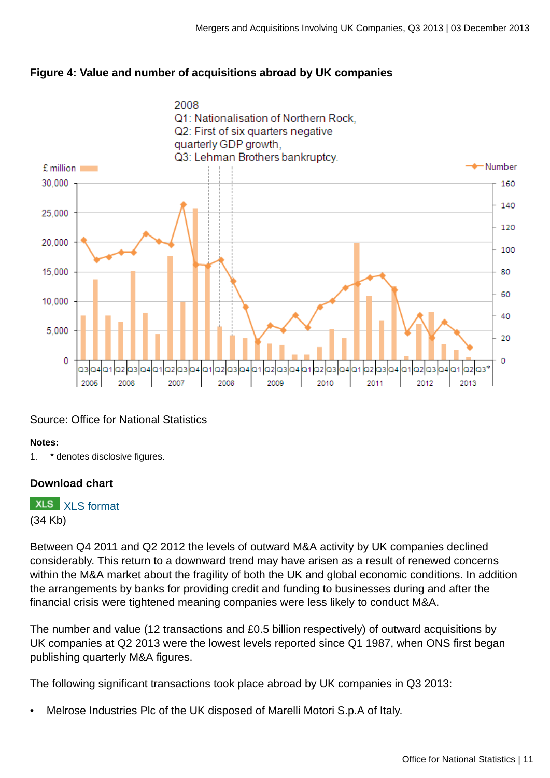



## Source: Office for National Statistics

#### **Notes:**

1. \* denotes disclosive figures.

## **Download chart**

**XLS** [XLS format](http://www.ons.gov.uk:80/ons/rel/international-transactions/mergers-and-acquisitions-involving-uk-companies/q3-2013/chd-m-a-fig-4.xls) (34 Kb)

Between Q4 2011 and Q2 2012 the levels of outward M&A activity by UK companies declined considerably. This return to a downward trend may have arisen as a result of renewed concerns within the M&A market about the fragility of both the UK and global economic conditions. In addition the arrangements by banks for providing credit and funding to businesses during and after the financial crisis were tightened meaning companies were less likely to conduct M&A.

The number and value (12 transactions and £0.5 billion respectively) of outward acquisitions by UK companies at Q2 2013 were the lowest levels reported since Q1 1987, when ONS first began publishing quarterly M&A figures.

The following significant transactions took place abroad by UK companies in Q3 2013:

• Melrose Industries Plc of the UK disposed of Marelli Motori S.p.A of Italy.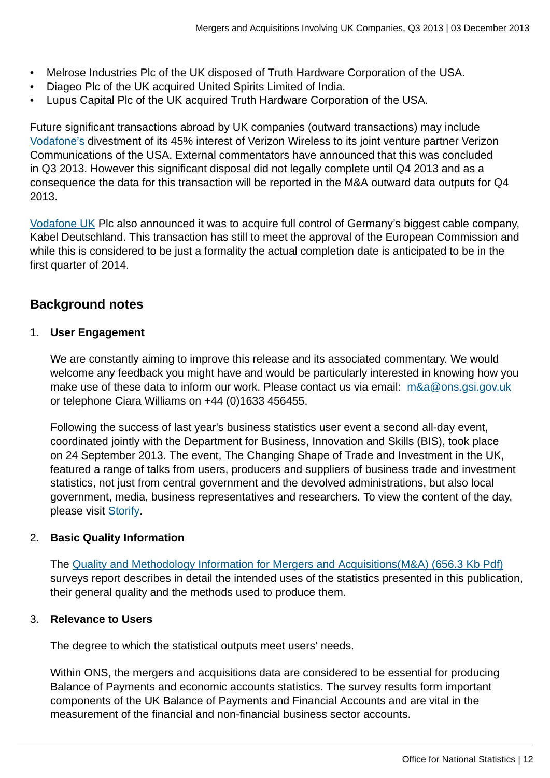- Melrose Industries Plc of the UK disposed of Truth Hardware Corporation of the USA.
- Diageo Plc of the UK acquired United Spirits Limited of India.
- Lupus Capital Plc of the UK acquired Truth Hardware Corporation of the USA.

Future significant transactions abroad by UK companies (outward transactions) may include [Vodafone's](http://www.vodafone.com/content/index/investors/verizon-wireless-transaction.html) divestment of its 45% interest of Verizon Wireless to its joint venture partner Verizon Communications of the USA. External commentators have announced that this was concluded in Q3 2013. However this significant disposal did not legally complete until Q4 2013 and as a consequence the data for this transaction will be reported in the M&A outward data outputs for Q4 2013.

[Vodafone UK](http://www.mobilenewscwp.co.uk/2013/10/14/vodafone-completes-kabel-deutschland-takeover/) Plc also announced it was to acquire full control of Germany's biggest cable company, Kabel Deutschland. This transaction has still to meet the approval of the European Commission and while this is considered to be just a formality the actual completion date is anticipated to be in the first quarter of 2014.

## **Background notes**

## 1. **User Engagement**

We are constantly aiming to improve this release and its associated commentary. We would welcome any feedback you might have and would be particularly interested in knowing how you make use of these data to inform our work. Please contact us via email: [m&a@ons.gsi.gov.uk](mailto:m&a@ons.gsi.gov.uk) or telephone Ciara Williams on +44 (0)1633 456455.

Following the success of last year's business statistics user event a second all-day event, coordinated jointly with the Department for Business, Innovation and Skills (BIS), took place on 24 September 2013. The event, The Changing Shape of Trade and Investment in the UK, featured a range of talks from users, producers and suppliers of business trade and investment statistics, not just from central government and the devolved administrations, but also local government, media, business representatives and researchers. To view the content of the day, please visit [Storify](http://sfy.co/eQJP).

## 2. **Basic Quality Information**

The [Quality and Methodology Information for Mergers and Acquisitions\(M&A\) \(656.3 Kb Pdf\)](http://www.ons.gov.uk:80/ons/guide-method/method-quality/quality/quality-information/business-and-energy/mergers-and-acquisitions.pdf) surveys report describes in detail the intended uses of the statistics presented in this publication, their general quality and the methods used to produce them.

## 3. **Relevance to Users**

The degree to which the statistical outputs meet users' needs.

Within ONS, the mergers and acquisitions data are considered to be essential for producing Balance of Payments and economic accounts statistics. The survey results form important components of the UK Balance of Payments and Financial Accounts and are vital in the measurement of the financial and non-financial business sector accounts.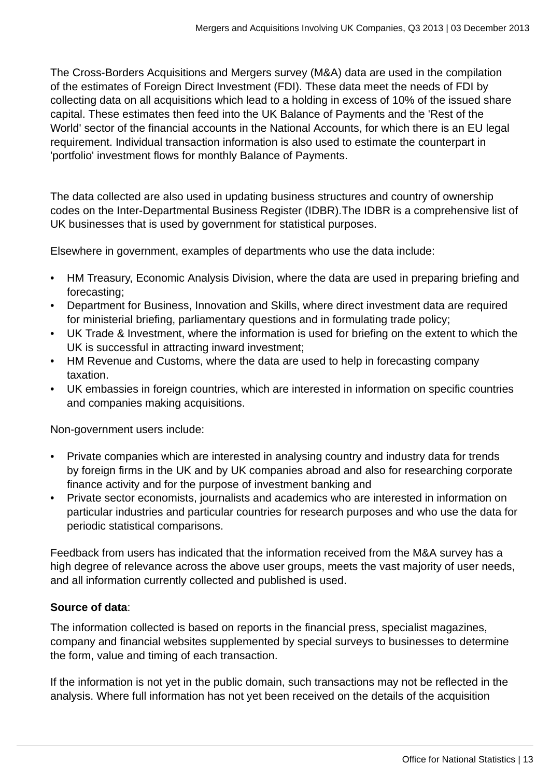The Cross-Borders Acquisitions and Mergers survey (M&A) data are used in the compilation of the estimates of Foreign Direct Investment (FDI). These data meet the needs of FDI by collecting data on all acquisitions which lead to a holding in excess of 10% of the issued share capital. These estimates then feed into the UK Balance of Payments and the 'Rest of the World' sector of the financial accounts in the National Accounts, for which there is an EU legal requirement. Individual transaction information is also used to estimate the counterpart in 'portfolio' investment flows for monthly Balance of Payments.

The data collected are also used in updating business structures and country of ownership codes on the Inter-Departmental Business Register (IDBR).The IDBR is a comprehensive list of UK businesses that is used by government for statistical purposes.

Elsewhere in government, examples of departments who use the data include:

- HM Treasury, Economic Analysis Division, where the data are used in preparing briefing and forecasting;
- Department for Business, Innovation and Skills, where direct investment data are required for ministerial briefing, parliamentary questions and in formulating trade policy;
- UK Trade & Investment, where the information is used for briefing on the extent to which the UK is successful in attracting inward investment;
- HM Revenue and Customs, where the data are used to help in forecasting company taxation.
- UK embassies in foreign countries, which are interested in information on specific countries and companies making acquisitions.

Non-government users include:

- Private companies which are interested in analysing country and industry data for trends by foreign firms in the UK and by UK companies abroad and also for researching corporate finance activity and for the purpose of investment banking and
- Private sector economists, journalists and academics who are interested in information on particular industries and particular countries for research purposes and who use the data for periodic statistical comparisons.

Feedback from users has indicated that the information received from the M&A survey has a high degree of relevance across the above user groups, meets the vast majority of user needs, and all information currently collected and published is used.

## **Source of data**:

The information collected is based on reports in the financial press, specialist magazines, company and financial websites supplemented by special surveys to businesses to determine the form, value and timing of each transaction.

If the information is not yet in the public domain, such transactions may not be reflected in the analysis. Where full information has not yet been received on the details of the acquisition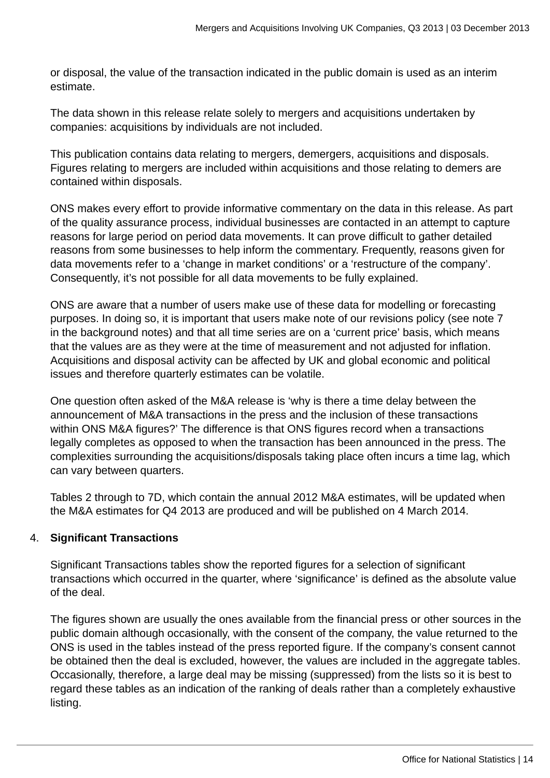or disposal, the value of the transaction indicated in the public domain is used as an interim estimate.

The data shown in this release relate solely to mergers and acquisitions undertaken by companies: acquisitions by individuals are not included.

This publication contains data relating to mergers, demergers, acquisitions and disposals. Figures relating to mergers are included within acquisitions and those relating to demers are contained within disposals.

ONS makes every effort to provide informative commentary on the data in this release. As part of the quality assurance process, individual businesses are contacted in an attempt to capture reasons for large period on period data movements. It can prove difficult to gather detailed reasons from some businesses to help inform the commentary. Frequently, reasons given for data movements refer to a 'change in market conditions' or a 'restructure of the company'. Consequently, it's not possible for all data movements to be fully explained.

ONS are aware that a number of users make use of these data for modelling or forecasting purposes. In doing so, it is important that users make note of our revisions policy (see note 7 in the background notes) and that all time series are on a 'current price' basis, which means that the values are as they were at the time of measurement and not adjusted for inflation. Acquisitions and disposal activity can be affected by UK and global economic and political issues and therefore quarterly estimates can be volatile.

One question often asked of the M&A release is 'why is there a time delay between the announcement of M&A transactions in the press and the inclusion of these transactions within ONS M&A figures?' The difference is that ONS figures record when a transactions legally completes as opposed to when the transaction has been announced in the press. The complexities surrounding the acquisitions/disposals taking place often incurs a time lag, which can vary between quarters.

Tables 2 through to 7D, which contain the annual 2012 M&A estimates, will be updated when the M&A estimates for Q4 2013 are produced and will be published on 4 March 2014.

## 4. **Significant Transactions**

Significant Transactions tables show the reported figures for a selection of significant transactions which occurred in the quarter, where 'significance' is defined as the absolute value of the deal.

The figures shown are usually the ones available from the financial press or other sources in the public domain although occasionally, with the consent of the company, the value returned to the ONS is used in the tables instead of the press reported figure. If the company's consent cannot be obtained then the deal is excluded, however, the values are included in the aggregate tables. Occasionally, therefore, a large deal may be missing (suppressed) from the lists so it is best to regard these tables as an indication of the ranking of deals rather than a completely exhaustive listing.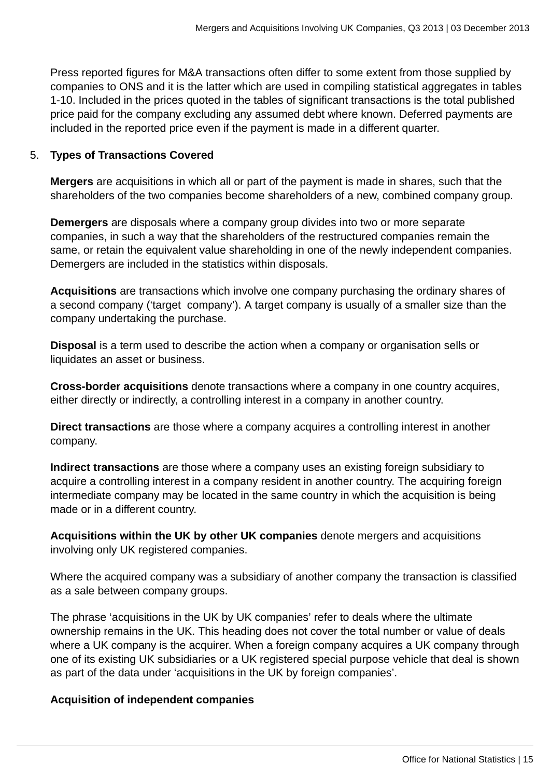Press reported figures for M&A transactions often differ to some extent from those supplied by companies to ONS and it is the latter which are used in compiling statistical aggregates in tables 1-10. Included in the prices quoted in the tables of significant transactions is the total published price paid for the company excluding any assumed debt where known. Deferred payments are included in the reported price even if the payment is made in a different quarter.

#### 5. **Types of Transactions Covered**

**Mergers** are acquisitions in which all or part of the payment is made in shares, such that the shareholders of the two companies become shareholders of a new, combined company group.

**Demergers** are disposals where a company group divides into two or more separate companies, in such a way that the shareholders of the restructured companies remain the same, or retain the equivalent value shareholding in one of the newly independent companies. Demergers are included in the statistics within disposals.

**Acquisitions** are transactions which involve one company purchasing the ordinary shares of a second company ('target company'). A target company is usually of a smaller size than the company undertaking the purchase.

**Disposal** is a term used to describe the action when a company or organisation sells or liquidates an asset or business.

**Cross-border acquisitions** denote transactions where a company in one country acquires, either directly or indirectly, a controlling interest in a company in another country.

**Direct transactions** are those where a company acquires a controlling interest in another company.

**Indirect transactions** are those where a company uses an existing foreign subsidiary to acquire a controlling interest in a company resident in another country. The acquiring foreign intermediate company may be located in the same country in which the acquisition is being made or in a different country.

**Acquisitions within the UK by other UK companies** denote mergers and acquisitions involving only UK registered companies.

Where the acquired company was a subsidiary of another company the transaction is classified as a sale between company groups.

The phrase 'acquisitions in the UK by UK companies' refer to deals where the ultimate ownership remains in the UK. This heading does not cover the total number or value of deals where a UK company is the acquirer. When a foreign company acquires a UK company through one of its existing UK subsidiaries or a UK registered special purpose vehicle that deal is shown as part of the data under 'acquisitions in the UK by foreign companies'.

## **Acquisition of independent companies**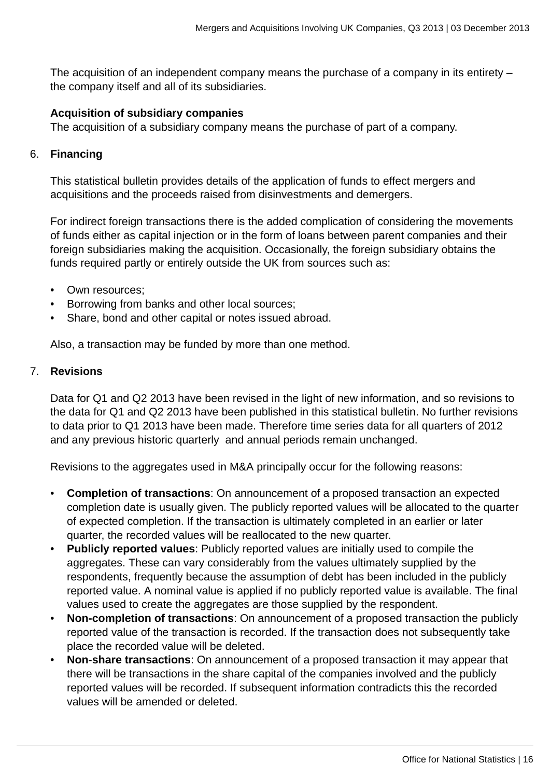The acquisition of an independent company means the purchase of a company in its entirety – the company itself and all of its subsidiaries.

#### **Acquisition of subsidiary companies**

The acquisition of a subsidiary company means the purchase of part of a company.

#### 6. **Financing**

This statistical bulletin provides details of the application of funds to effect mergers and acquisitions and the proceeds raised from disinvestments and demergers.

For indirect foreign transactions there is the added complication of considering the movements of funds either as capital injection or in the form of loans between parent companies and their foreign subsidiaries making the acquisition. Occasionally, the foreign subsidiary obtains the funds required partly or entirely outside the UK from sources such as:

- Own resources;
- Borrowing from banks and other local sources;
- Share, bond and other capital or notes issued abroad.

Also, a transaction may be funded by more than one method.

#### 7. **Revisions**

Data for Q1 and Q2 2013 have been revised in the light of new information, and so revisions to the data for Q1 and Q2 2013 have been published in this statistical bulletin. No further revisions to data prior to Q1 2013 have been made. Therefore time series data for all quarters of 2012 and any previous historic quarterly and annual periods remain unchanged.

Revisions to the aggregates used in M&A principally occur for the following reasons:

- **Completion of transactions**: On announcement of a proposed transaction an expected completion date is usually given. The publicly reported values will be allocated to the quarter of expected completion. If the transaction is ultimately completed in an earlier or later quarter, the recorded values will be reallocated to the new quarter.
- **Publicly reported values**: Publicly reported values are initially used to compile the aggregates. These can vary considerably from the values ultimately supplied by the respondents, frequently because the assumption of debt has been included in the publicly reported value. A nominal value is applied if no publicly reported value is available. The final values used to create the aggregates are those supplied by the respondent.
- **Non-completion of transactions**: On announcement of a proposed transaction the publicly reported value of the transaction is recorded. If the transaction does not subsequently take place the recorded value will be deleted.
- **Non-share transactions**: On announcement of a proposed transaction it may appear that there will be transactions in the share capital of the companies involved and the publicly reported values will be recorded. If subsequent information contradicts this the recorded values will be amended or deleted.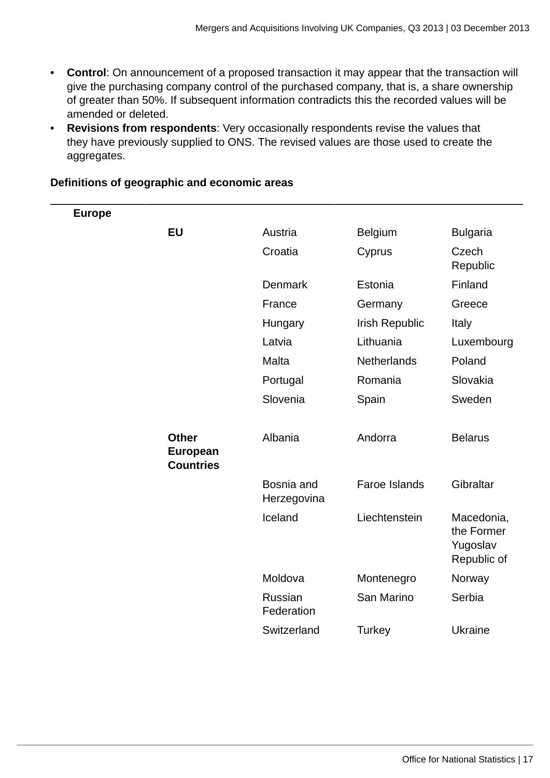- **Control**: On announcement of a proposed transaction it may appear that the transaction will give the purchasing company control of the purchased company, that is, a share ownership of greater than 50%. If subsequent information contradicts this the recorded values will be amended or deleted.
- **Revisions from respondents**: Very occasionally respondents revise the values that they have previously supplied to ONS. The revised values are those used to create the aggregates.

| <b>Europe</b> |                                                     |                           |                    |                                                     |
|---------------|-----------------------------------------------------|---------------------------|--------------------|-----------------------------------------------------|
|               | <b>EU</b>                                           | Austria                   | <b>Belgium</b>     | <b>Bulgaria</b>                                     |
|               |                                                     | Croatia                   | Cyprus             | Czech<br>Republic                                   |
|               |                                                     | Denmark                   | Estonia            | Finland                                             |
|               |                                                     | France                    | Germany            | Greece                                              |
|               |                                                     | Hungary                   | Irish Republic     | Italy                                               |
|               |                                                     | Latvia                    | Lithuania          | Luxembourg                                          |
|               |                                                     | Malta                     | <b>Netherlands</b> | Poland                                              |
|               |                                                     | Portugal                  | Romania            | Slovakia                                            |
|               |                                                     | Slovenia                  | Spain              | Sweden                                              |
|               |                                                     |                           |                    |                                                     |
|               | <b>Other</b><br><b>European</b><br><b>Countries</b> | Albania                   | Andorra            | <b>Belarus</b>                                      |
|               |                                                     | Bosnia and<br>Herzegovina | Faroe Islands      | Gibraltar                                           |
|               |                                                     | Iceland                   | Liechtenstein      | Macedonia,<br>the Former<br>Yugoslav<br>Republic of |
|               |                                                     | Moldova                   | Montenegro         | Norway                                              |
|               |                                                     | Russian<br>Federation     | San Marino         | Serbia                                              |
|               |                                                     | Switzerland               | Turkey             | <b>Ukraine</b>                                      |
|               |                                                     |                           |                    |                                                     |

## **Definitions of geographic and economic areas**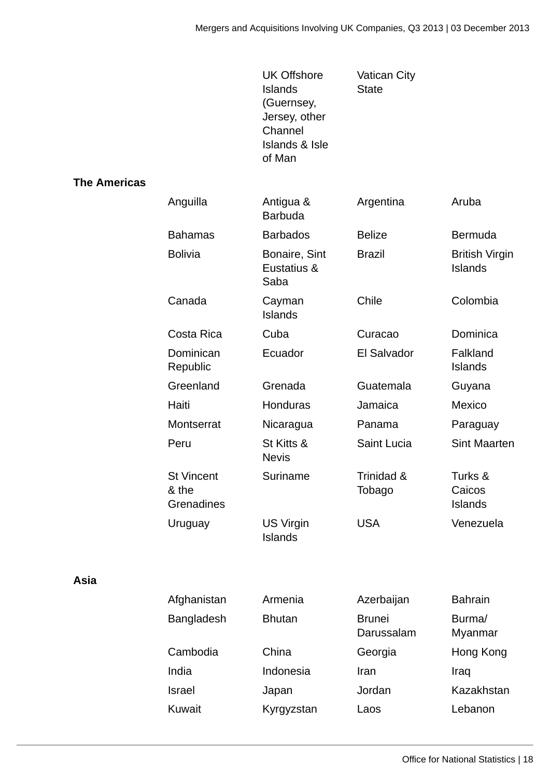|                     |                                          | <b>UK Offshore</b><br><b>Islands</b><br>(Guernsey,<br>Jersey, other<br>Channel<br><b>Islands &amp; Isle</b><br>of Man | <b>Vatican City</b><br><b>State</b> |                                         |
|---------------------|------------------------------------------|-----------------------------------------------------------------------------------------------------------------------|-------------------------------------|-----------------------------------------|
| <b>The Americas</b> |                                          |                                                                                                                       |                                     |                                         |
|                     | Anguilla                                 | Antigua &<br><b>Barbuda</b>                                                                                           | Argentina                           | Aruba                                   |
|                     | <b>Bahamas</b>                           | <b>Barbados</b>                                                                                                       | <b>Belize</b>                       | <b>Bermuda</b>                          |
|                     | <b>Bolivia</b>                           | Bonaire, Sint<br>Eustatius &<br>Saba                                                                                  | <b>Brazil</b>                       | <b>British Virgin</b><br><b>Islands</b> |
|                     | Canada                                   | Cayman<br><b>Islands</b>                                                                                              | Chile                               | Colombia                                |
|                     | Costa Rica                               | Cuba                                                                                                                  | Curacao                             | Dominica                                |
|                     | Dominican<br>Republic                    | Ecuador                                                                                                               | El Salvador                         | Falkland<br><b>Islands</b>              |
|                     | Greenland                                | Grenada                                                                                                               | Guatemala                           | Guyana                                  |
|                     | Haiti                                    | Honduras                                                                                                              | Jamaica                             | Mexico                                  |
|                     | Montserrat                               | Nicaragua                                                                                                             | Panama                              | Paraguay                                |
|                     | Peru                                     | St Kitts &<br><b>Nevis</b>                                                                                            | Saint Lucia                         | <b>Sint Maarten</b>                     |
|                     | <b>St Vincent</b><br>& the<br>Grenadines | Suriname                                                                                                              | Trinidad &<br>Tobago                | Turks &<br>Caicos<br><b>Islands</b>     |
|                     | Uruguay                                  | US Virgin<br><b>Islands</b>                                                                                           | <b>USA</b>                          | Venezuela                               |
| Asia                |                                          |                                                                                                                       |                                     |                                         |
|                     | Afghanistan                              | Armenia                                                                                                               | Azerbaijan                          | <b>Bahrain</b>                          |
|                     | Bangladesh                               | <b>Bhutan</b>                                                                                                         | <b>Brunei</b><br>Darussalam         | Burma/<br>Myanmar                       |
|                     | Cambodia                                 | China                                                                                                                 | Georgia                             | Hong Kong                               |
|                     | India                                    | Indonesia                                                                                                             | Iran                                | Iraq                                    |
|                     | <b>Israel</b>                            | Japan                                                                                                                 | Jordan                              | Kazakhstan                              |
|                     | Kuwait                                   | Kyrgyzstan                                                                                                            | Laos                                | Lebanon                                 |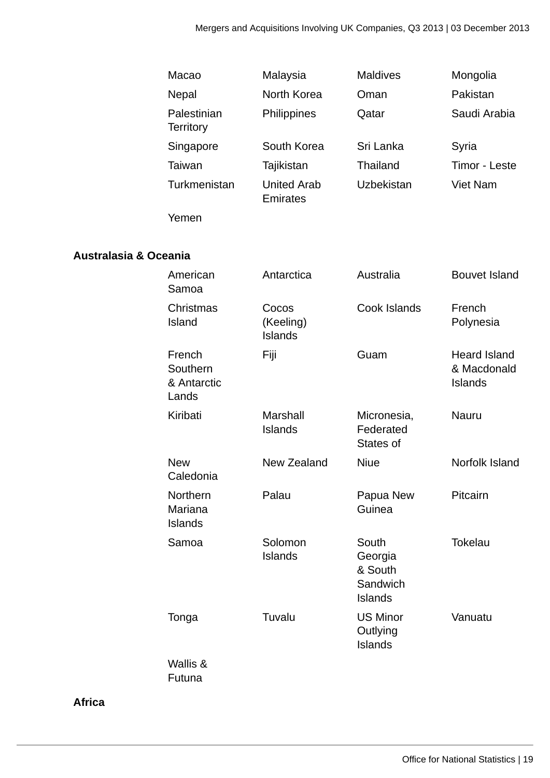|                                  | Macao                                      | Malaysia                              | <b>Maldives</b>                                           | Mongolia                                             |
|----------------------------------|--------------------------------------------|---------------------------------------|-----------------------------------------------------------|------------------------------------------------------|
|                                  | Nepal                                      | North Korea                           | Oman                                                      | Pakistan                                             |
|                                  | Palestinian<br><b>Territory</b>            | Philippines                           | Qatar                                                     | Saudi Arabia                                         |
|                                  | Singapore                                  | South Korea                           | Sri Lanka                                                 | Syria                                                |
|                                  | <b>Taiwan</b>                              | Tajikistan                            | Thailand                                                  | Timor - Leste                                        |
|                                  | Turkmenistan                               | <b>United Arab</b><br><b>Emirates</b> | Uzbekistan                                                | <b>Viet Nam</b>                                      |
|                                  | Yemen                                      |                                       |                                                           |                                                      |
|                                  |                                            |                                       |                                                           |                                                      |
| <b>Australasia &amp; Oceania</b> |                                            |                                       |                                                           |                                                      |
|                                  | American<br>Samoa                          | Antarctica                            | Australia                                                 | <b>Bouvet Island</b>                                 |
|                                  | Christmas<br>Island                        | Cocos<br>(Keeling)<br><b>Islands</b>  | Cook Islands                                              | French<br>Polynesia                                  |
|                                  | French<br>Southern<br>& Antarctic<br>Lands | Fiji                                  | Guam                                                      | <b>Heard Island</b><br>& Macdonald<br><b>Islands</b> |
|                                  | Kiribati                                   | Marshall<br><b>Islands</b>            | Micronesia,<br>Federated<br>States of                     | Nauru                                                |
|                                  | <b>New</b><br>Caledonia                    | New Zealand                           | <b>Niue</b>                                               | Norfolk Island                                       |
|                                  | Northern<br>Mariana<br><b>Islands</b>      | Palau                                 | Papua New<br>Guinea                                       | Pitcairn                                             |
|                                  | Samoa                                      | Solomon<br><b>Islands</b>             | South<br>Georgia<br>& South<br>Sandwich<br><b>Islands</b> | <b>Tokelau</b>                                       |
|                                  | Tonga                                      | Tuvalu                                | <b>US Minor</b><br>Outlying<br><b>Islands</b>             | Vanuatu                                              |
|                                  | Wallis &<br>Futuna                         |                                       |                                                           |                                                      |

**Africa**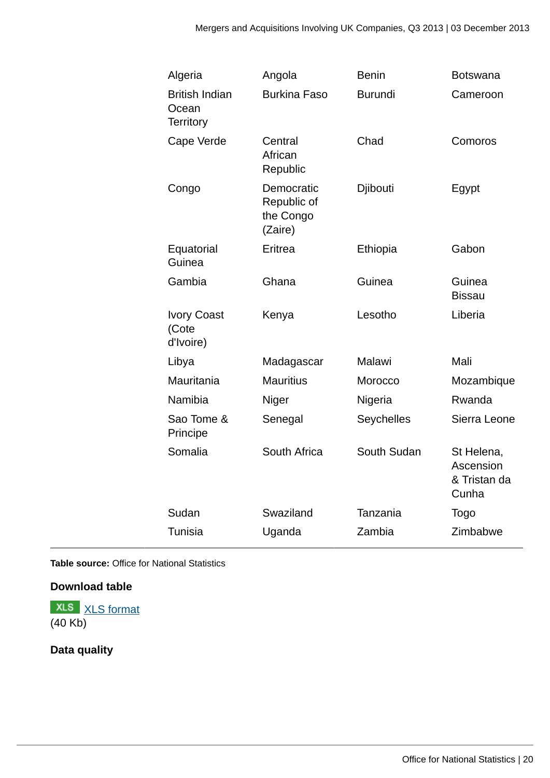| Algeria                                            | Angola                                            | <b>Benin</b>   | <b>Botswana</b>                                  |
|----------------------------------------------------|---------------------------------------------------|----------------|--------------------------------------------------|
| <b>British Indian</b><br>Ocean<br><b>Territory</b> | <b>Burkina Faso</b>                               | <b>Burundi</b> | Cameroon                                         |
| Cape Verde                                         | Central<br>African<br>Republic                    | Chad           | Comoros                                          |
| Congo                                              | Democratic<br>Republic of<br>the Congo<br>(Zaire) | Djibouti       | Egypt                                            |
| Equatorial<br>Guinea                               | Eritrea                                           | Ethiopia       | Gabon                                            |
| Gambia                                             | Ghana                                             | Guinea         | Guinea<br><b>Bissau</b>                          |
| <b>Ivory Coast</b><br>(Cote<br>d'Ivoire)           | Kenya                                             | Lesotho        | Liberia                                          |
| Libya                                              | Madagascar                                        | Malawi         | Mali                                             |
| Mauritania                                         | <b>Mauritius</b>                                  | Morocco        | Mozambique                                       |
| Namibia                                            | Niger                                             | Nigeria        | Rwanda                                           |
| Sao Tome &<br>Principe                             | Senegal                                           | Seychelles     | Sierra Leone                                     |
| Somalia                                            | South Africa                                      | South Sudan    | St Helena,<br>Ascension<br>& Tristan da<br>Cunha |
| Sudan                                              | Swaziland                                         | Tanzania       | <b>Togo</b>                                      |
| <b>Tunisia</b>                                     | Uganda                                            | Zambia         | Zimbabwe                                         |
|                                                    |                                                   |                |                                                  |

**Table source:** Office for National Statistics

## **Download table**

**XLS** [XLS format](http://www.ons.gov.uk:80/ons/rel/international-transactions/mergers-and-acquisitions-involving-uk-companies/q3-2013/prt-m-a-geog.xls) (40 Kb)

## **Data quality**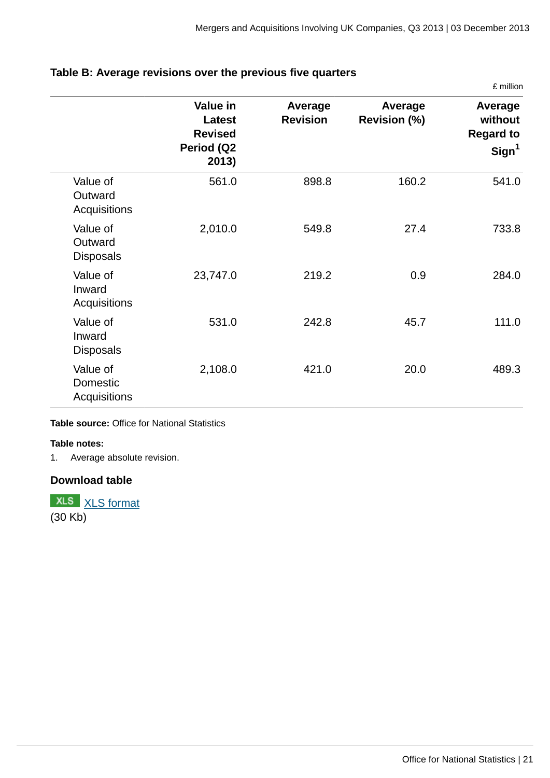|                                             |                                                             |                            |                                | £ million                                                   |
|---------------------------------------------|-------------------------------------------------------------|----------------------------|--------------------------------|-------------------------------------------------------------|
|                                             | Value in<br>Latest<br><b>Revised</b><br>Period (Q2<br>2013) | Average<br><b>Revision</b> | Average<br><b>Revision (%)</b> | Average<br>without<br><b>Regard to</b><br>Sign <sup>1</sup> |
| Value of<br>Outward<br>Acquisitions         | 561.0                                                       | 898.8                      | 160.2                          | 541.0                                                       |
| Value of<br>Outward<br><b>Disposals</b>     | 2,010.0                                                     | 549.8                      | 27.4                           | 733.8                                                       |
| Value of<br>Inward<br>Acquisitions          | 23,747.0                                                    | 219.2                      | 0.9                            | 284.0                                                       |
| Value of<br>Inward<br><b>Disposals</b>      | 531.0                                                       | 242.8                      | 45.7                           | 111.0                                                       |
| Value of<br>Domestic<br><b>Acquisitions</b> | 2,108.0                                                     | 421.0                      | 20.0                           | 489.3                                                       |

## **Table B: Average revisions over the previous five quarters**

#### **Table source:** Office for National Statistics

#### **Table notes:**

1. Average absolute revision.

## **Download table**

**XLS** [XLS format](http://www.ons.gov.uk:80/ons/rel/international-transactions/mergers-and-acquisitions-involving-uk-companies/q3-2013/prt-m-a-table-b.xls)  $(30 Kb)$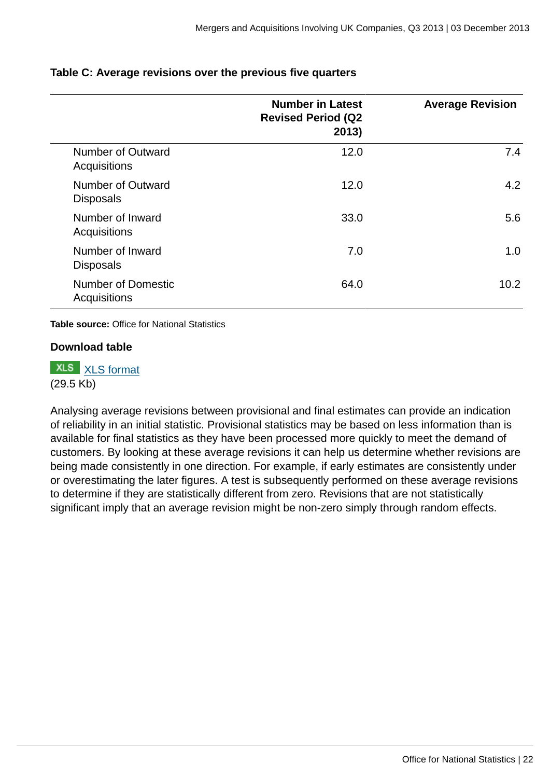|                                           | <b>Number in Latest</b><br><b>Revised Period (Q2</b><br>2013) | <b>Average Revision</b> |
|-------------------------------------------|---------------------------------------------------------------|-------------------------|
| Number of Outward<br>Acquisitions         | 12.0                                                          | 7.4                     |
| Number of Outward<br><b>Disposals</b>     | 12.0                                                          | 4.2                     |
| Number of Inward<br>Acquisitions          | 33.0                                                          | 5.6                     |
| Number of Inward<br><b>Disposals</b>      | 7.0                                                           | 1.0                     |
| <b>Number of Domestic</b><br>Acquisitions | 64.0                                                          | 10.2                    |

## **Table C: Average revisions over the previous five quarters**

**Table source:** Office for National Statistics

## **Download table**

**XLS** [XLS format](http://www.ons.gov.uk:80/ons/rel/international-transactions/mergers-and-acquisitions-involving-uk-companies/q3-2013/prt-m-a-table-c.xls) (29.5 Kb)

Analysing average revisions between provisional and final estimates can provide an indication of reliability in an initial statistic. Provisional statistics may be based on less information than is available for final statistics as they have been processed more quickly to meet the demand of customers. By looking at these average revisions it can help us determine whether revisions are being made consistently in one direction. For example, if early estimates are consistently under or overestimating the later figures. A test is subsequently performed on these average revisions to determine if they are statistically different from zero. Revisions that are not statistically significant imply that an average revision might be non-zero simply through random effects.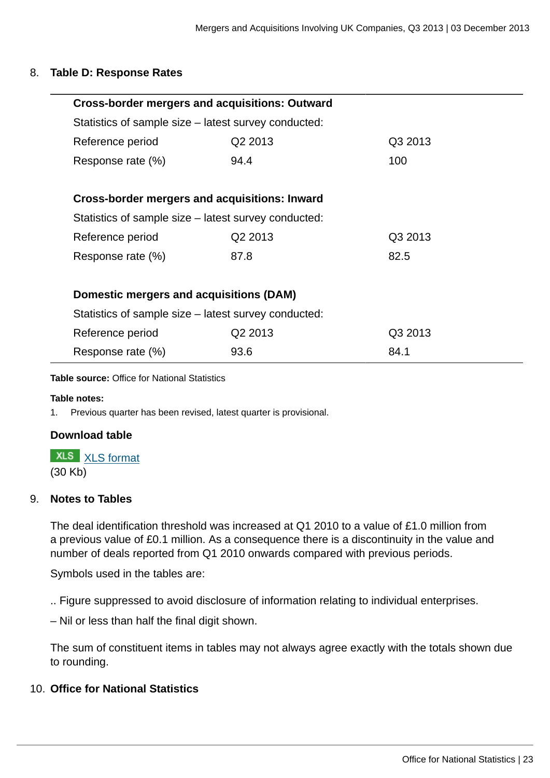#### 8. **Table D: Response Rates**

| <b>Cross-border mergers and acquisitions: Outward</b> |                                         |         |  |  |  |
|-------------------------------------------------------|-----------------------------------------|---------|--|--|--|
| Statistics of sample size – latest survey conducted:  |                                         |         |  |  |  |
| Reference period                                      | Q2 2013                                 | Q3 2013 |  |  |  |
| Response rate (%)                                     | 94.4                                    | 100     |  |  |  |
|                                                       |                                         |         |  |  |  |
| Cross-border mergers and acquisitions: Inward         |                                         |         |  |  |  |
| Statistics of sample size – latest survey conducted:  |                                         |         |  |  |  |
| Reference period                                      | Q <sub>2</sub> 2013                     | Q3 2013 |  |  |  |
| Response rate (%)                                     | 87.8                                    | 82.5    |  |  |  |
|                                                       |                                         |         |  |  |  |
|                                                       | Domestic mergers and acquisitions (DAM) |         |  |  |  |
| Statistics of sample size – latest survey conducted:  |                                         |         |  |  |  |
| Reference period                                      | Q <sub>2</sub> 2013                     | Q3 2013 |  |  |  |
| Response rate (%)                                     | 93.6                                    | 84.1    |  |  |  |

**Table source:** Office for National Statistics

#### **Table notes:**

1. Previous quarter has been revised, latest quarter is provisional.

## **Download table**

**XLS** [XLS format](http://www.ons.gov.uk:80/ons/rel/international-transactions/mergers-and-acquisitions-involving-uk-companies/q3-2013/prt-m-a-table-d.xls)

(30 Kb)

## 9. **Notes to Tables**

The deal identification threshold was increased at Q1 2010 to a value of £1.0 million from a previous value of £0.1 million. As a consequence there is a discontinuity in the value and number of deals reported from Q1 2010 onwards compared with previous periods.

Symbols used in the tables are:

.. Figure suppressed to avoid disclosure of information relating to individual enterprises.

– Nil or less than half the final digit shown.

The sum of constituent items in tables may not always agree exactly with the totals shown due to rounding.

## 10. **Office for National Statistics**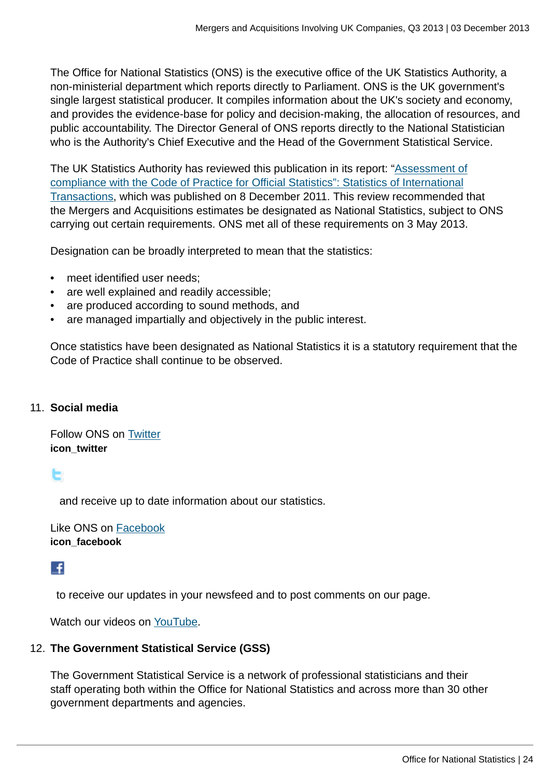The Office for National Statistics (ONS) is the executive office of the UK Statistics Authority, a non-ministerial department which reports directly to Parliament. ONS is the UK government's single largest statistical producer. It compiles information about the UK's society and economy, and provides the evidence-base for policy and decision-making, the allocation of resources, and public accountability. The Director General of ONS reports directly to the National Statistician who is the Authority's Chief Executive and the Head of the Government Statistical Service.

The UK Statistics Authority has reviewed this publication in its report: "[Assessment of](http://www.statisticsauthority.gov.uk/assessment/assessment/assessment-reports/assessment-report-164---statistics-on-international-transactions.pdf) [compliance with the Code of Practice for Official Statistics": Statistics of International](http://www.statisticsauthority.gov.uk/assessment/assessment/assessment-reports/assessment-report-164---statistics-on-international-transactions.pdf) [Transactions,](http://www.statisticsauthority.gov.uk/assessment/assessment/assessment-reports/assessment-report-164---statistics-on-international-transactions.pdf) which was published on 8 December 2011. This review recommended that the Mergers and Acquisitions estimates be designated as National Statistics, subject to ONS carrying out certain requirements. ONS met all of these requirements on 3 May 2013.

Designation can be broadly interpreted to mean that the statistics:

- meet identified user needs:
- are well explained and readily accessible;
- are produced according to sound methods, and
- are managed impartially and objectively in the public interest.

Once statistics have been designated as National Statistics it is a statutory requirement that the Code of Practice shall continue to be observed.

## 11. **Social media**

Follow ONS on [Twitter](http://www.ons.gov.uk:80/ons/external-links/social-media/twitter.html) **icon\_twitter**

E

and receive up to date information about our statistics.

Like ONS on [Facebook](http://www.ons.gov.uk:80/ons/external-links/social-media/index.html) **icon\_facebook**

## L£I

to receive our updates in your newsfeed and to post comments on our page.

Watch our videos on [YouTube.](http://www.ons.gov.uk:80/ons/external-links/social-media/youtube.html)

## 12. **The Government Statistical Service (GSS)**

The Government Statistical Service is a network of professional statisticians and their staff operating both within the Office for National Statistics and across more than 30 other government departments and agencies.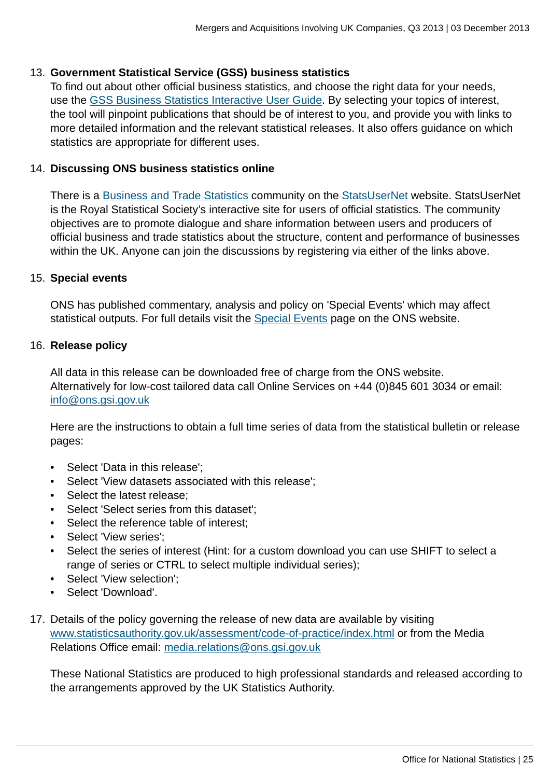## 13. **Government Statistical Service (GSS) business statistics**

To find out about other official business statistics, and choose the right data for your needs, use the [GSS Business Statistics Interactive User Guide](http://www.ons.gov.uk:80/ons/guide-method/understanding-ons-statistics/business-statistics---interactive-user-guide/index.html). By selecting your topics of interest, the tool will pinpoint publications that should be of interest to you, and provide you with links to more detailed information and the relevant statistical releases. It also offers guidance on which statistics are appropriate for different uses.

## 14. **Discussing ONS business statistics online**

There is a [Business and Trade Statistics](http://www.ons.gov.uk:80/ons/external-links/organisations/statsusernet/business-and-trade-statistics.html) community on the [StatsUserNet](http://www.ons.gov.uk:80/ons/external-links/organisations/statsusernet/statsusernet-home.html) website. StatsUserNet is the Royal Statistical Society's interactive site for users of official statistics. The community objectives are to promote dialogue and share information between users and producers of official business and trade statistics about the structure, content and performance of businesses within the UK. Anyone can join the discussions by registering via either of the links above.

#### 15. **Special events**

ONS has published commentary, analysis and policy on 'Special Events' which may affect statistical outputs. For full details visit the [Special Events](http://www.ons.gov.uk:80/ons/guide-method/method-quality/general-methodology/special-events-group/index.html) page on the ONS website.

#### 16. **Release policy**

All data in this release can be downloaded free of charge from the ONS website. Alternatively for low-cost tailored data call Online Services on +44 (0)845 601 3034 or email: [info@ons.gsi.gov.uk](mailto:info@ons.gsi.gov.uk)

Here are the instructions to obtain a full time series of data from the statistical bulletin or release pages:

- Select 'Data in this release';
- Select 'View datasets associated with this release';
- Select the latest release;
- Select 'Select series from this dataset';
- Select the reference table of interest;
- Select 'View series';
- Select the series of interest (Hint: for a custom download you can use SHIFT to select a range of series or CTRL to select multiple individual series);
- Select 'View selection';
- Select 'Download'.
- 17. Details of the policy governing the release of new data are available by visiting [www.statisticsauthority.gov.uk/assessment/code-of-practice/index.html](http://www.statisticsauthority.gov.uk/assessment/code-of-practice/index.html) or from the Media Relations Office email: [media.relations@ons.gsi.gov.uk](mailto:media.relations@ons.gsi.gov.uk)

These National Statistics are produced to high professional standards and released according to the arrangements approved by the UK Statistics Authority.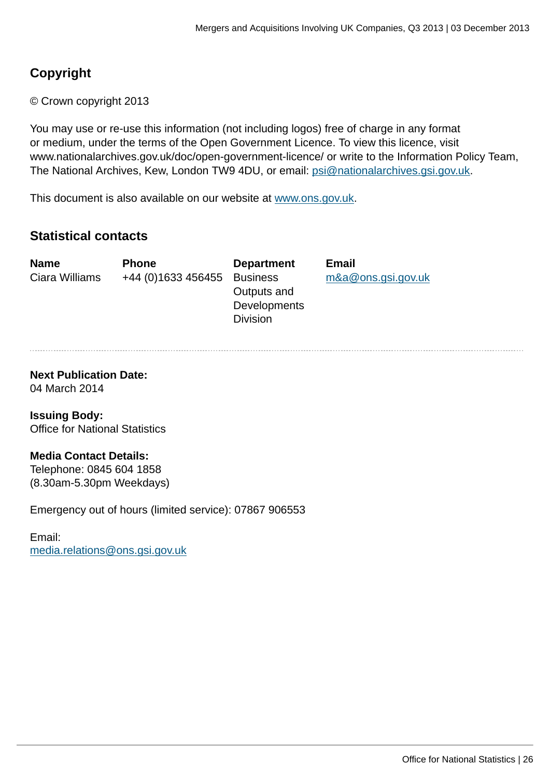## **Copyright**

© Crown copyright 2013

You may use or re-use this information (not including logos) free of charge in any format or medium, under the terms of the Open Government Licence. To view this licence, visit www.nationalarchives.gov.uk/doc/open-government-licence/ or write to the Information Policy Team, The National Archives, Kew, London TW9 4DU, or email: [psi@nationalarchives.gsi.gov.uk](mailto:psi@nationalarchives.gsi.gov.uk).

This document is also available on our website at [www.ons.gov.uk.](http://www.ons.gov.uk/)

## **Statistical contacts**

Ciara Williams +44 (0)1633 456455 Business

**Name Phone Department Email** Outputs and **Developments** Division

[m&a@ons.gsi.gov.uk](mailto:m&a@ons.gsi.gov.uk)

**Next Publication Date:** 04 March 2014

**Issuing Body:** Office for National Statistics

## **Media Contact Details:**

Telephone: 0845 604 1858 (8.30am-5.30pm Weekdays)

Emergency out of hours (limited service): 07867 906553

Email: [media.relations@ons.gsi.gov.uk](mailto:media.relations@ons.gsi.gov.uk)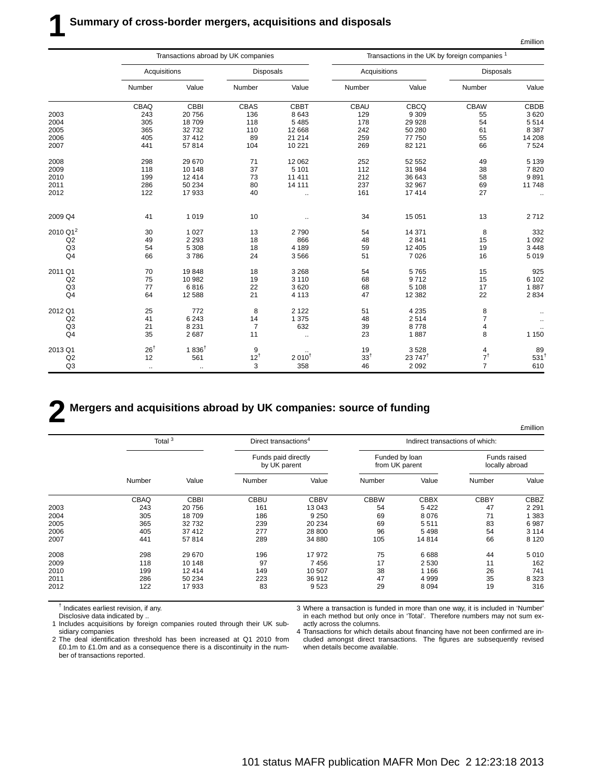|                      | Transactions abroad by UK companies |                  |                  |                      |                 |                   | Transactions in the UK by foreign companies <sup>1</sup> |                    |
|----------------------|-------------------------------------|------------------|------------------|----------------------|-----------------|-------------------|----------------------------------------------------------|--------------------|
|                      | Acquisitions                        |                  | <b>Disposals</b> |                      | Acquisitions    |                   | <b>Disposals</b>                                         |                    |
|                      | Number                              | Value            | Number           | Value                | Number          | Value             | Number                                                   | Value              |
|                      | CBAQ                                | CBBI             | CBAS             | <b>CBBT</b>          | CBAU            | CBCQ              | <b>CBAW</b>                                              | CBDB               |
| 2003                 | 243                                 | 20756            | 136              | 8643                 | 129             | 9 3 0 9           | 55                                                       | 3620               |
| 2004                 | 305                                 | 18709            | 118              | 5 4 8 5              | 178             | 29 9 28           | 54                                                       | 5514               |
| 2005                 | 365                                 | 32732            | 110              | 12 6 68              | 242             | 50 280            | 61                                                       | 8 3 8 7            |
| 2006                 | 405                                 | 37 412           | 89               | 21 214               | 259             | 77 750            | 55                                                       | 14 208             |
| 2007                 | 441                                 | 57814            | 104              | 10 221               | 269             | 82 121            | 66                                                       | 7 5 24             |
| 2008                 | 298                                 | 29 670           | 71               | 12 062               | 252             | 52 552            | 49                                                       | 5 1 3 9            |
| 2009                 | 118                                 | 10 148           | 37               | 5 1 0 1              | 112             | 31 984            | 38                                                       | 7820               |
| 2010                 | 199                                 | 12 4 14          | 73               | 11 411               | 212             | 36 643            | 58                                                       | 9891               |
| 2011                 | 286                                 | 50 234           | 80               | 14 111               | 237             | 32 967            | 69                                                       | 11748              |
| 2012                 | 122                                 | 17933            | 40               | $\ddot{\phantom{a}}$ | 161             | 17414             | 27                                                       | $\ldots$           |
| 2009 Q4              | 41                                  | 1019             | 10               | ٠.                   | 34              | 15 051            | 13                                                       | 2712               |
| 2010 Q1 <sup>2</sup> | 30                                  | 1 0 2 7          | 13               | 2790                 | 54              | 14 371            | 8                                                        | 332                |
| Q2                   | 49                                  | 2 2 9 3          | 18               | 866                  | 48              | 2 8 4 1           | 15                                                       | 1 0 9 2            |
| Q3                   | 54                                  | 5 3 0 8          | 18               | 4 1 8 9              | 59              | 12 4 05           | 19                                                       | 3 4 4 8            |
| Q <sub>4</sub>       | 66                                  | 3786             | 24               | 3566                 | 51              | 7 0 26            | 16                                                       | 5 0 1 9            |
| 2011 Q1              | 70                                  | 19848            | 18               | 3 2 6 8              | 54              | 5765              | 15                                                       | 925                |
| Q2                   | 75                                  | 10 982           | 19               | 3 1 1 0              | 68              | 9712              | 15                                                       | 6 102              |
| Q3                   | 77                                  | 6816             | 22               | 3620                 | 68              | 5 1 0 8           | 17                                                       | 1887               |
| Q <sub>4</sub>       | 64                                  | 12 5 8 8         | 21               | 4 1 1 3              | 47              | 12 3 8 2          | 22                                                       | 2 8 3 4            |
| 2012 Q1              | 25                                  | 772              | 8                | 2 1 2 2              | 51              | 4 2 3 5           | 8                                                        |                    |
| Q2                   | 41                                  | 6 2 4 3          | 14               | 1 3 7 5              | 48              | 2514              | $\overline{7}$                                           | $\ddotsc$          |
| Q3                   | 21                                  | 8 2 3 1          | $\overline{7}$   | 632                  | 39              | 8778              | 4                                                        |                    |
| Q <sub>4</sub>       | 35                                  | 2687             | 11               | $\ddot{\phantom{a}}$ | 23              | 1887              | 8                                                        | 1 1 5 0            |
| 2013 Q1              | $26^{\dagger}$                      | $1836^{\dagger}$ | 9                |                      | 19              | 3528              | 4                                                        | 89                 |
| Q2                   | 12                                  | 561              | $12^{\dagger}$   | 2010 <sup>†</sup>    | 33 <sup>†</sup> | $23747^{\dagger}$ | $7^{\dagger}$                                            | $531$ <sup>t</sup> |
| Q <sub>3</sub>       | $\ddotsc$                           | $\ldots$         | 3                | 358                  | 46              | 2 0 9 2           | $\overline{7}$                                           | 610                |

## **2 Mergers and acquisitions abroad by UK companies: source of funding**

£million Total 3 **Direct transactions** <sup>4</sup> Indirect transactions of which: Funds paid directly **Funded by loan** Funds raised<br>by UK parent from UK parent from CHC coally abroad by UK parent interest in the from UK parent Number Value Number Value Number Value Number Value CBAQ CBBI CBBU CBBV CBBW CBBX CBBY CBBZ 2003 243 20 756 161 13 043 54 5 422 47 2 291 2004 305 18 709 186 9 250 69 8 076 71 1 383 2005 365 32 732 239 20 234 69 5 511 83 6 987 2006 405 37 412 277 28 800 96 5 498 54 3 114 2007 441 57 814 289 34 880 105 14 814 66 8 120 2008 298 29 670 196 17 972 75 6 688 44 5 010 2009 118 10 148 97 7 456 17 2 530 11 162 2010 199 12 414 149 10 507 38 1 166 26 741 2011 286 50 234 223 36 912 47 4 999 35 8 323 2012 122 17 933 83 9 523 29 8 094 19 316

† Indicates earliest revision, if any.

Disclosive data indicated by ..

1 Includes acquisitions by foreign companies routed through their UK subsidiary companies

2 The deal identification threshold has been increased at Q1 2010 from £0.1m to £1.0m and as a consequence there is a discontinuity in the number of transactions reported.

3 Where a transaction is funded in more than one way, it is included in 'Number' in each method but only once in 'Total'. Therefore numbers may not sum exactly across the columns.

4 Transactions for which details about financing have not been confirmed are included amongst direct transactions. The figures are subsequently revised when details become available.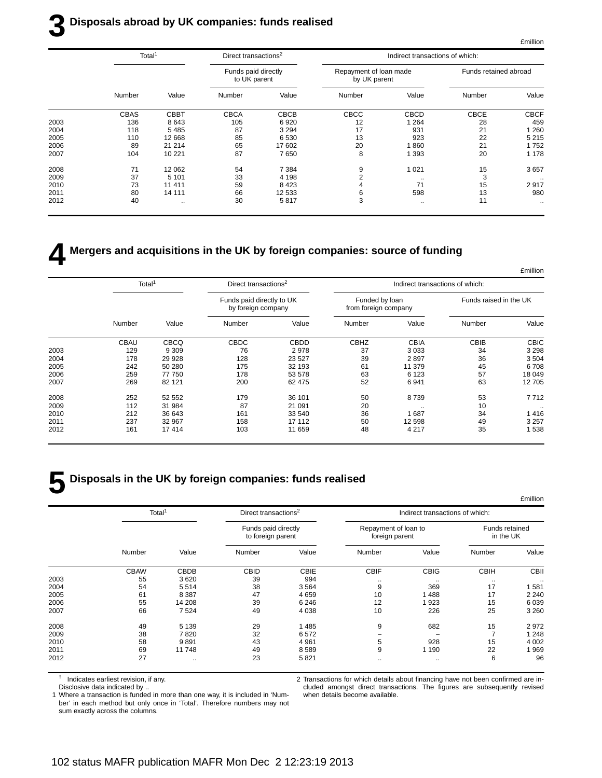## **3 Disposals abroad by UK companies: funds realised**

|      | Total <sup>1</sup> |             | Direct transactions <sup>2</sup>    |             |                                        | Indirect transactions of which: |                       |             |
|------|--------------------|-------------|-------------------------------------|-------------|----------------------------------------|---------------------------------|-----------------------|-------------|
|      |                    |             | Funds paid directly<br>to UK parent |             | Repayment of loan made<br>by UK parent |                                 | Funds retained abroad |             |
|      | Number             | Value       | Number                              | Value       | Number                                 | Value                           | Number                | Value       |
|      | <b>CBAS</b>        | <b>CBBT</b> | <b>CBCA</b>                         | <b>CBCB</b> | CBCC                                   | <b>CBCD</b>                     | <b>CBCE</b>           | <b>CBCF</b> |
| 2003 | 136                | 8643        | 105                                 | 6920        | 12                                     | 264                             | 28                    | 459         |
| 2004 | 118                | 5485        | 87                                  | 3 2 9 4     | 17                                     | 931                             | 21                    | 260         |
| 2005 | 110                | 12 668      | 85                                  | 6 5 3 0     | 13                                     | 923                             | 22                    | 5 2 1 5     |
| 2006 | 89                 | 21 214      | 65                                  | 17 602      | 20                                     | 860                             | 21                    | 1752        |
| 2007 | 104                | 10 221      | 87                                  | 7650        | 8                                      | 1 3 9 3                         | 20                    | 1 1 7 8     |
| 2008 | 71                 | 12 062      | 54                                  | 7 3 8 4     | 9                                      | 1 0 2 1                         | 15                    | 3657        |
| 2009 | 37                 | 5 1 0 1     | 33                                  | 4 1 9 8     |                                        | $\cdots$                        | 3                     | $\cdots$    |
| 2010 | 73                 | 11 411      | 59                                  | 8423        |                                        | 71                              | 15                    | 2917        |
| 2011 | 80                 | 14 111      | 66                                  | 12 533      | 6                                      | 598                             | 13                    | 980         |
| 2012 | 40                 | $\cdot$ .   | 30                                  | 5817        | 3                                      | $\cdots$                        | 11                    |             |
|      |                    |             |                                     |             |                                        |                                 |                       |             |

## **4 Mergers and acquisitions in the UK by foreign companies: source of funding**

|              |                        | Indirect transactions of which: |                                        | Direct transactions <sup>2</sup> |                                                 |             | Total <sup>1</sup> |      |
|--------------|------------------------|---------------------------------|----------------------------------------|----------------------------------|-------------------------------------------------|-------------|--------------------|------|
|              | Funds raised in the UK |                                 | Funded by loan<br>from foreign company |                                  | Funds paid directly to UK<br>by foreign company |             |                    |      |
| Value        | Number                 | Value                           | Number                                 | Value                            | Number                                          | Value       | Number             |      |
| <b>CBIC</b>  | CBIB                   | <b>CBIA</b>                     | <b>CBHZ</b>                            | <b>CBDD</b>                      | <b>CBDC</b>                                     | <b>CBCQ</b> | <b>CBAU</b>        |      |
| 3 2 9 8      | 34                     | 3 0 3 3                         | 37                                     | 2978                             | 76                                              | 9 3 0 9     | 129                | 2003 |
| 3504         | 36                     | 2897                            | 39                                     | 23 5 27                          | 128                                             | 29 9 28     | 178                | 2004 |
| 6708         | 45                     | 11 379                          | 61                                     | 32 193                           | 175                                             | 50 280      | 242                | 2005 |
| 18 049       | 57                     | 6 1 2 3                         | 63                                     | 53 578                           | 178                                             | 77 750      | 259                | 2006 |
| 12 705       | 63                     | 6941                            | 52                                     | 62 475                           | 200                                             | 82 121      | 269                | 2007 |
| 7712         | 53                     | 8739                            | 50                                     | 36 101                           | 179                                             | 52 552      | 252                | 2008 |
| $\cdot\cdot$ | 10                     | $\sim$                          | 20                                     | 21 091                           | 87                                              | 31 984      | 112                | 2009 |
| 1416         | 34                     | 1 687                           | 36                                     | 33 540                           | 161                                             | 36 643      | 212                | 2010 |
| 3 2 5 7      | 49                     | 12 598                          | 50                                     | 17 112                           | 158                                             | 32 967      | 237                | 2011 |
| 1538         | 35                     | 4 2 1 7                         | 48                                     | 11 659                           | 103                                             | 17414       | 161                | 2012 |

## **5 Disposals in the UK by foreign companies: funds realised**

|      |                    |             |                                          |             |                                        |                                 |                             | £million |  |  |  |  |
|------|--------------------|-------------|------------------------------------------|-------------|----------------------------------------|---------------------------------|-----------------------------|----------|--|--|--|--|
|      | Total <sup>1</sup> |             | Direct transactions <sup>2</sup>         |             |                                        | Indirect transactions of which: |                             |          |  |  |  |  |
|      |                    |             | Funds paid directly<br>to foreign parent |             | Repayment of loan to<br>foreign parent |                                 | Funds retained<br>in the UK |          |  |  |  |  |
|      | Number             | Value       | Number                                   | Value       | Number                                 | Value                           | Number                      | Value    |  |  |  |  |
|      | <b>CBAW</b>        | <b>CBDB</b> | <b>CBID</b>                              | <b>CBIE</b> | <b>CBIF</b>                            | <b>CBIG</b>                     | <b>CBIH</b>                 | CBII     |  |  |  |  |
| 2003 | 55                 | 3620        | 39                                       | 994         | $\cdots$                               | $\cdot$ .                       | $\cdots$                    | $\cdot$  |  |  |  |  |
| 2004 | 54                 | 5514        | 38                                       | 3564        | 9                                      | 369                             | 17                          | 1581     |  |  |  |  |
| 2005 | 61                 | 8 3 8 7     | 47                                       | 4659        | 10                                     | 488                             | 17                          | 2 2 4 0  |  |  |  |  |
| 2006 | 55                 | 14 208      | 39                                       | 6 2 4 6     | 12                                     | 923                             | 15                          | 6 0 3 9  |  |  |  |  |
| 2007 | 66                 | 7524        | 49                                       | 4 0 38      | 10                                     | 226                             | 25                          | 3 2 6 0  |  |  |  |  |
| 2008 | 49                 | 5 1 3 9     | 29                                       | 1 4 8 5     | 9                                      | 682                             | 15                          | 2972     |  |  |  |  |
| 2009 | 38                 | 7820        | 32                                       | 6572        |                                        |                                 |                             | 1 2 4 8  |  |  |  |  |
| 2010 | 58                 | 9891        | 43                                       | 4 9 61      | 5                                      | 928                             | 15                          | 4 0 0 2  |  |  |  |  |
| 2011 | 69                 | 11748       | 49                                       | 8589        | 9                                      | 1 1 9 0                         | 22                          | 1969     |  |  |  |  |
| 2012 | 27                 | $\cdots$    | 23                                       | 5821        | $\cdots$                               | $\cdots$                        | 6                           | 96       |  |  |  |  |

† Indicates earliest revision, if any.

Disclosive data indicated by ..

1 Where a transaction is funded in more than one way, it is included in 'Number' in each method but only once in 'Total'. Therefore numbers may not sum exactly across the columns.

2 Transactions for which details about financing have not been confirmed are included amongst direct transactions. The figures are subsequently revised when details become available.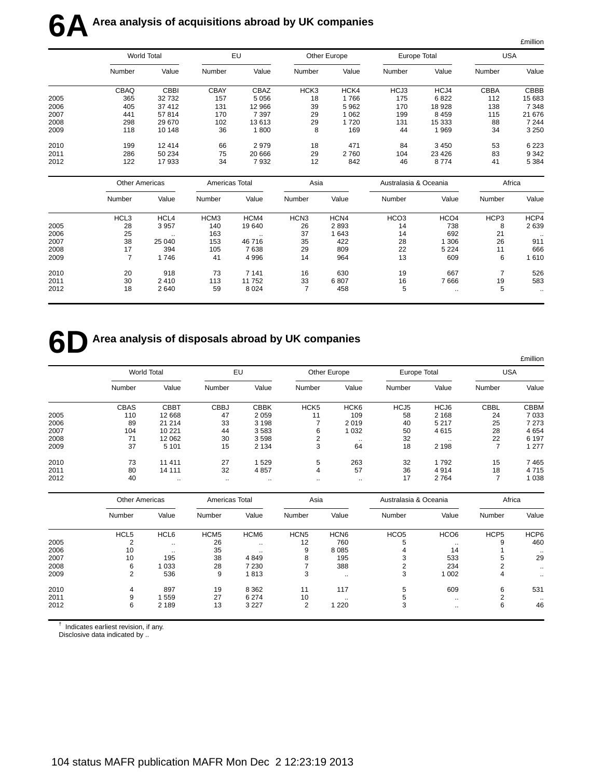|      |                    |             |             |         |                  |         |              |         |             | £million |
|------|--------------------|-------------|-------------|---------|------------------|---------|--------------|---------|-------------|----------|
|      | <b>World Total</b> |             | EU          |         | Other Europe     |         | Europe Total |         | USA         |          |
|      | Number             | Value       | Number      | Value   | Number           | Value   | Number       | Value   | Number      | Value    |
|      | CBAQ               | <b>CBBI</b> | <b>CBAY</b> | CBAZ    | HCK <sub>3</sub> | HCK4    | HCJ3         | HCJ4    | <b>CBBA</b> | CBBB     |
| 2005 | 365                | 32732       | 157         | 5056    | 18               | 1766    | 175          | 6822    | 112         | 15 683   |
| 2006 | 405                | 37 412      | 131         | 12 966  | 39               | 5962    | 170          | 18 928  | 138         | 7 3 4 8  |
| 2007 | 441                | 57814       | 170         | 7 3 9 7 | 29               | 1 0 6 2 | 199          | 8 4 5 9 | 115         | 21 676   |
| 2008 | 298                | 29 670      | 102         | 13613   | 29               | 1720    | 131          | 15 333  | 88          | 7 2 4 4  |
| 2009 | 118                | 10 148      | 36          | 1800    | 8                | 169     | 44           | 1969    | 34          | 3 2 5 0  |
| 2010 | 199                | 12 4 14     | 66          | 2979    | 18               | 471     | 84           | 3 4 5 0 | 53          | 6 2 2 3  |
| 2011 | 286                | 50 234      | 75          | 20 666  | 29               | 2760    | 104          | 23 4 26 | 83          | 9 3 4 2  |
| 2012 | 122                | 17933       | 34          | 7932    | 12               | 842     | 46           | 8774    | 41          | 5 3 8 4  |

|      |        | <b>Other Americas</b> |                  | Americas Total |                  | Asia  |                  | Australasia & Oceania |        | Africa    |  |
|------|--------|-----------------------|------------------|----------------|------------------|-------|------------------|-----------------------|--------|-----------|--|
|      | Number | Value                 | Number           | Value          | Number           | Value | Number           | Value                 | Number | Value     |  |
|      | HCL3   | HCL <sub>4</sub>      | HCM <sub>3</sub> | HCM4           | HCN <sub>3</sub> | HCN4  | HCO <sub>3</sub> | HCO <sub>4</sub>      | HCP3   | HCP4      |  |
| 2005 | 28     | 3 9 5 7               | 140              | 19 640         | 26               | 2893  | 14               | 738                   | 8      | 2639      |  |
| 2006 | 25     | $\cdot$ .             | 163              | $\cdot$ .      | 37               | 1643  | 14               | 692                   | 21     | $\ddotsc$ |  |
| 2007 | 38     | 25 040                | 153              | 46716          | 35               | 422   | 28               | 1 306                 | 26     | 911       |  |
| 2008 | 17     | 394                   | 105              | 7638           | 29               | 809   | 22               | 5 2 2 4               | 11     | 666       |  |
| 2009 |        | 1746                  | 41               | 4 9 9 6        | 14               | 964   | 13               | 609                   | 6      | 1 610     |  |
| 2010 | 20     | 918                   | 73               | 7 1 4 1        | 16               | 630   | 19               | 667                   |        | 526       |  |
| 2011 | 30     | 2410                  | 113              | 11 752         | 33               | 6807  | 16               | 7666                  | 19     | 583       |  |
| 2012 | 18     | 2640                  | 59               | 8 0 2 4        |                  | 458   | 5                | $\cdots$              | 5      | $\cdots$  |  |

## **6D** Area analysis of disposals abroad by UK companies

|      |                    |             |             |             |                  |                  |                  |          |                          | £million    |
|------|--------------------|-------------|-------------|-------------|------------------|------------------|------------------|----------|--------------------------|-------------|
|      | <b>World Total</b> |             | EU          |             | Other Europe     |                  | Europe Total     |          | <b>USA</b>               |             |
|      | Number             | Value       | Number      | Value       | Number           | Value            | Number           | Value    | Number                   | Value       |
|      | <b>CBAS</b>        | <b>CBBT</b> | <b>CBBJ</b> | <b>CBBK</b> | HCK <sub>5</sub> | HCK <sub>6</sub> | HCJ <sub>5</sub> | HCJ6     | <b>CBBL</b>              | <b>CBBM</b> |
| 2005 | 110                | 12 668      | 47          | 2059        | 11               | 109              | 58               | 2 1 6 8  | 24                       | 7033        |
| 2006 | 89                 | 21 214      | 33          | 3 1 9 8     |                  | 2019             | 40               | 5 2 1 7  | 25                       | 7 2 7 3     |
| 2007 | 104                | 10 221      | 44          | 3583        | 6                | 1 0 3 2          | 50               | 4615     | 28                       | 4654        |
| 2008 | 71                 | 12 062      | 30          | 3598        | 2                | $\cdot$ .        | 32               | $\cdots$ | 22                       | 6 1 9 7     |
| 2009 | 37                 | 5 1 0 1     | 15          | 2 1 3 4     | 3                | 64               | 18               | 2 1 9 8  | $\overline{\phantom{a}}$ | 1 277       |
| 2010 | 73                 | 11 411      | 27          | 1529        | 5                | 263              | 32               | 1792     | 15                       | 7465        |
| 2011 | 80                 | 14 111      | 32          | 4857        | 4                | 57               | 36               | 4914     | 18                       | 4715        |
| 2012 | 40                 | $\cdots$    |             |             | $\cdot$ .        | $\ddotsc$        | 17               | 2 7 6 4  |                          | 1038        |

|      | <b>Other Americas</b> |           | Americas Total   |                  | Asia             |                  | Australasia & Oceania |                  | Africa           |           |
|------|-----------------------|-----------|------------------|------------------|------------------|------------------|-----------------------|------------------|------------------|-----------|
|      | Number                | Value     | Number           | Value            | Number           | Value            | Number                | Value            | Number           | Value     |
|      | HCL <sub>5</sub>      | HCL6      | HCM <sub>5</sub> | HCM <sub>6</sub> | HCN <sub>5</sub> | HCN <sub>6</sub> | HCO <sub>5</sub>      | HCO <sub>6</sub> | HCP <sub>5</sub> | HCP6      |
| 2005 | c                     | $\cdots$  | 26               | $\cdot$ .        | 12               | 760              | 5                     | $\cdot$ .        | 9                | 460       |
| 2006 | 10                    | $\cdot$ . | 35               |                  | 9                | 8 0 8 5          |                       | 14               |                  |           |
| 2007 | 10                    | 195       | 38               | 4849             | 8                | 195              |                       | 533              | 5                | 29        |
| 2008 | 6                     | 1 0 3 3   | 28               | 7 2 3 0          |                  | 388              |                       | 234              |                  | $\cdots$  |
| 2009 | $\overline{2}$        | 536       | 9                | 1813             | 3                | $\ddotsc$        | 3                     | 1 0 0 2          | 4                | $\ddotsc$ |
| 2010 | 4                     | 897       | 19               | 8 3 6 2          | 11               | 117              | 5                     | 609              | 6                | 531       |
| 2011 | 9                     | 559       | 27               | 6 2 7 4          | 10               | $\cdot$ .        | ٠h                    | $\cdot$ .        | ◠                | $\cdot$ . |
| 2012 | 6                     | 2 1 8 9   | 13               | 3 2 2 7          | 2                | 1 220            | 3                     | $\cdot$ .        | 6                | 46        |

† Indicates earliest revision, if any.

Disclosive data indicated by ..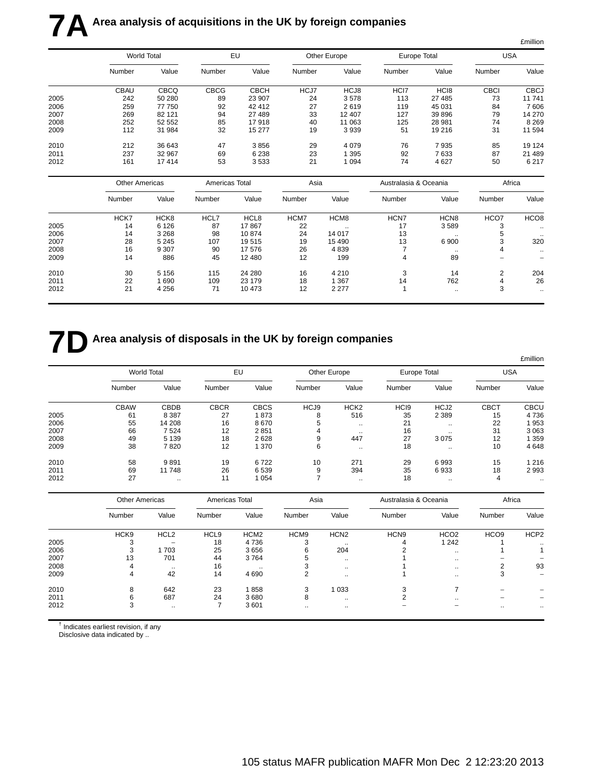|      |                       |             |                |             |        |              |                       |                  |                | £million         |
|------|-----------------------|-------------|----------------|-------------|--------|--------------|-----------------------|------------------|----------------|------------------|
|      | World Total           |             |                | EU          |        | Other Europe | Europe Total          |                  | <b>USA</b>     |                  |
|      | Number                | Value       | Number         | Value       | Number | Value        | Number                | Value            | Number         | Value            |
|      | <b>CBAU</b>           | <b>CBCQ</b> | <b>CBCG</b>    | <b>CBCH</b> | HCJ7   | HCJ8         | HCI7                  | HC <sub>18</sub> | <b>CBCI</b>    | <b>CBCJ</b>      |
| 2005 | 242                   | 50 280      | 89             | 23 907      | 24     | 3578         | 113                   | 27 485           | 73             | 11741            |
| 2006 | 259                   | 77 750      | 92             | 42 412      | 27     | 2619         | 119                   | 45 031           | 84             | 7 60 6           |
| 2007 | 269                   | 82 121      | 94             | 27 489      | 33     | 12 407       | 127                   | 39 896           | 79             | 14 270           |
| 2008 | 252                   | 52 552      | 85             | 17918       | 40     | 11 063       | 125                   | 28 981           | 74             | 8 2 6 9          |
| 2009 | 112                   | 31 984      | 32             | 15 277      | 19     | 3939         | 51                    | 19 216           | 31             | 11 594           |
| 2010 | 212                   | 36 643      | 47             | 3856        | 29     | 4079         | 76                    | 7935             | 85             | 19 124           |
| 2011 | 237                   | 32 967      | 69             | 6 2 3 8     | 23     | 1 3 9 5      | 92                    | 7633             | 87             | 21 489           |
| 2012 | 161                   | 17414       | 53             | 3533        | 21     | 1 0 9 4      | 74                    | 4 6 27           | 50             | 6 2 1 7          |
|      | <b>Other Americas</b> |             | Americas Total |             | Asia   |              | Australasia & Oceania |                  | Africa         |                  |
|      | Number                | Value       | Number         | Value       | Number | Value        | Number                | Value            | Number         | Value            |
|      | HCK7                  | HCK8        | HCL7           | HCL8        | HCM7   | HCM8         | HCN7                  | HCN <sub>8</sub> | HCO7           | HCO <sub>8</sub> |
| 2005 | 14                    | 6 1 2 6     | 87             | 17867       | 22     | $\ddotsc$    | 17                    | 3589             | 3              |                  |
| 2006 | 14                    | 3 2 6 8     | 98             | 10874       | 24     | 14 017       | 13                    | $\ddotsc$        | 5              |                  |
| 2007 | 28                    | 5 2 4 5     | 107            | 19515       | 19     | 15 4 90      | 13                    | 6 900            | 3              | 320              |
| 2008 | 16                    | 9 3 0 7     | 90             | 17 576      | 26     | 4839         | $\overline{7}$        | $\ddotsc$        | 4              |                  |
| 2009 | 14                    | 886         | 45             | 12 480      | 12     | 199          | 4                     | 89               |                |                  |
| 2010 | 30                    | 5 1 5 6     | 115            | 24 280      | 16     | 4 2 1 0      | 3                     | 14               | $\overline{c}$ | 204              |
| 2011 | 22                    | 1690        | 109            | 23 179      | 18     | 1 3 6 7      | 14                    | 762              | 4              | 26               |
| 2012 | 21                    | 4 2 5 6     | 71             | 10 473      | 12     | 2 2 7 7      | $\overline{1}$        | $\ddotsc$        | 3              | $\ddotsc$        |

## **7D** Area analysis of disposals in the UK by foreign companies

|      |                    |             |             |             |              |                  |                  |               |             | <b>£million</b> |
|------|--------------------|-------------|-------------|-------------|--------------|------------------|------------------|---------------|-------------|-----------------|
|      | <b>World Total</b> |             | EU          |             | Other Europe |                  | Europe Total     |               | <b>USA</b>  |                 |
|      | Number             | Value       | Number      | Value       | Number       | Value            | Number           | Value         | Number      | Value           |
|      | <b>CBAW</b>        | <b>CBDB</b> | <b>CBCR</b> | <b>CBCS</b> | HCJ9         | HCK <sub>2</sub> | HC <sub>19</sub> | HCJ2          | <b>CBCT</b> | <b>CBCU</b>     |
| 2005 | 61                 | 8 3 8 7     | 27          | 1873        | 8            | 516              | 35               | 2 3 8 9       | 15          | 4736            |
| 2006 | 55                 | 14 208      | 16          | 8670        | 5            |                  | 21               | $\sim$ $\sim$ | 22          | 953             |
| 2007 | 66                 | 7524        | 12          | 2851        | 4            | $\cdot$ .        | 16               | $\cdots$      | 31          | 3 0 6 3         |
| 2008 | 49                 | 5 1 3 9     | 18          | 2628        | 9            | 447              | 27               | 3075          | 12          | 359             |
| 2009 | 38                 | 7820        | 12          | 1 370       | 6            | $\cdot$ .        | 18               | $\cdots$      | 10          | 4648            |
| 2010 | 58                 | 9891        | 19          | 6722        | 10           | 271              | 29               | 6993          | 15          | 1 2 1 6         |
| 2011 | 69                 | 11748       | 26          | 6 5 3 9     | 9            | 394              | 35               | 6933          | 18          | 2993            |
| 2012 | 27                 | $\sim$      | 11          | 1 0 5 4     |              | $\cdot$ .        | 18               | $\cdots$      | 4           | $\cdot$ .       |

|      | <b>Other Americas</b> |                  | Americas Total   |                  | Asia             |                  | Australasia & Oceania |                  | Africa           |                          |
|------|-----------------------|------------------|------------------|------------------|------------------|------------------|-----------------------|------------------|------------------|--------------------------|
|      | Number                | Value            | Number           | Value            | Number           | Value            | Number                | Value            | Number           | Value                    |
|      | HCK <sub>9</sub>      | HCL <sub>2</sub> | HCL <sub>9</sub> | HCM <sub>2</sub> | HCM <sub>9</sub> | HCN <sub>2</sub> | HCN <sub>9</sub>      | HCO <sub>2</sub> | HCO <sub>9</sub> | HCP <sub>2</sub>         |
| 2005 | 3                     |                  | 18               | 4 7 3 6          | -3               | $\cdot$ .        | 4                     | 1 2 4 2          |                  | $\cdot$ .                |
| 2006 | 3                     | 1703             | 25               | 3656             | 6                | 204              |                       | $\cdot$ .        |                  |                          |
| 2007 | 13                    | 701              | 44               | 3764             |                  | $\ddotsc$        |                       | $\ddotsc$        |                  |                          |
| 2008 | 4                     | $\cdot$ .        | 16               | $\cdot$ .        |                  | $\cdot$ .        |                       | $\cdot$ .        | っ                | 93                       |
| 2009 | 4                     | 42               | 14               | 4690             |                  | $\cdot$ .        |                       | $\sim$ $\sim$    | 3                | $\overline{\phantom{a}}$ |
| 2010 | 8                     | 642              | 23               | 1858             | 3                | 1 0 3 3          | 3                     |                  |                  |                          |
| 2011 | 6                     | 687              | 24               | 3680             | 8                | $\cdot$ .        |                       | $\ddotsc$        |                  |                          |
| 2012 | 3                     | $\cdot$ .        |                  | 3601             |                  | $\cdot$ .        |                       |                  | $\cdot$ .        |                          |

 $<sup>†</sup>$  Indicates earliest revision, if any</sup>

Disclosive data indicated by ..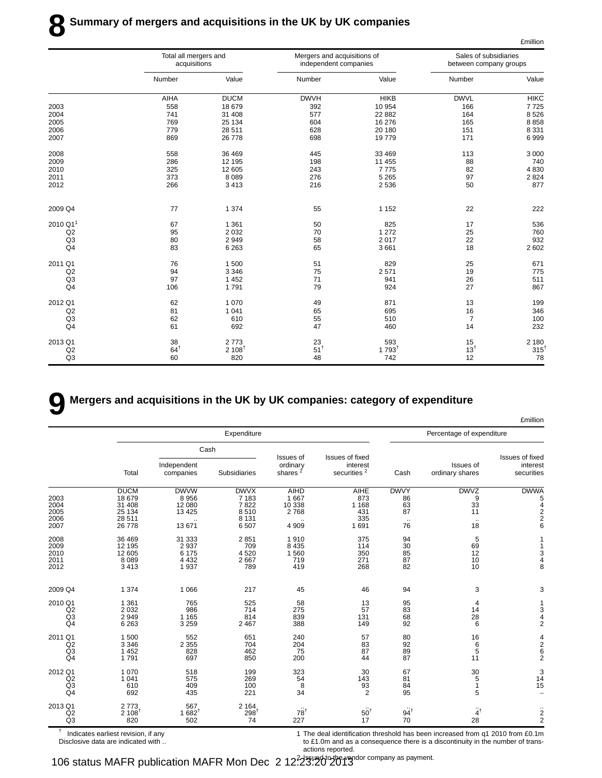|                      | Total all mergers and<br>acquisitions |                   | Mergers and acquisitions of<br>independent companies |                             | Sales of subsidiaries<br>between company groups |                 |
|----------------------|---------------------------------------|-------------------|------------------------------------------------------|-----------------------------|-------------------------------------------------|-----------------|
|                      | Number                                | Value             | Number                                               | Value                       | Number                                          | Value           |
|                      | AIHA                                  | <b>DUCM</b>       | <b>DWVH</b>                                          | <b>HIKB</b>                 | <b>DWVL</b>                                     | <b>HIKC</b>     |
| 2003                 | 558                                   | 18 679            | 392                                                  | 10 954                      | 166                                             | 7725            |
| 2004                 | 741                                   | 31 408            | 577                                                  | 22 882                      | 164                                             | 8526            |
| 2005                 | 769                                   | 25 134            | 604                                                  | 16 276                      | 165                                             | 8858            |
| 2006                 | 779                                   | 28 511            | 628                                                  | 20 180                      | 151                                             | 8 3 3 1         |
| 2007                 | 869                                   | 26 778            | 698                                                  | 19779                       | 171                                             | 6999            |
| 2008                 | 558                                   | 36 469            | 445                                                  | 33 469                      | 113                                             | 3 0 0 0         |
| 2009                 | 286                                   | 12 195            | 198                                                  | 11 455                      | 88                                              | 740             |
| 2010                 | 325                                   | 12 605            | 243                                                  | 7775                        | 82                                              | 4 8 3 0         |
| 2011                 | 373                                   | 8089              | 276                                                  | 5 2 6 5                     | 97                                              | 2 8 2 4         |
| 2012                 | 266                                   | 3413              | 216                                                  | 2 5 3 6                     | 50                                              | 877             |
| 2009 Q4              | 77                                    | 1 3 7 4           | 55                                                   | 1 1 5 2                     | 22                                              | 222             |
| 2010 Q1 <sup>1</sup> | 67                                    | 1 3 6 1           | 50                                                   | 825                         | 17                                              | 536             |
| Q2                   | 95                                    | 2 0 3 2           | 70                                                   | 1 2 7 2                     | 25                                              | 760             |
| Q <sub>3</sub>       | 80                                    | 2949              | 58                                                   | 2017                        | 22                                              | 932             |
| Q4                   | 83                                    | 6 2 6 3           | 65                                                   | 3661                        | 18                                              | 2 602           |
| 2011 Q1              | 76                                    | 1500              | 51                                                   | 829                         | 25                                              | 671             |
| Q2                   | 94                                    | 3 3 4 6           | 75                                                   | 2571                        | 19                                              | 775             |
| Q <sub>3</sub>       | 97                                    | 1 4 5 2           | 71                                                   | 941                         | 26                                              | 511             |
| Q4                   | 106                                   | 1791              | 79                                                   | 924                         | 27                                              | 867             |
| 2012 Q1              | 62                                    | 1 0 7 0           | 49                                                   | 871                         | 13                                              | 199             |
| Q2                   | 81                                    | 1 0 4 1           | 65                                                   | 695                         | 16                                              | 346             |
| Q <sub>3</sub>       | 62                                    | 610               | 55                                                   | 510                         | $\overline{7}$                                  | 100             |
| Q4                   | 61                                    | 692               | 47                                                   | 460                         | 14                                              | 232             |
| 2013 Q1              | 38                                    | 2773              | 23                                                   | $593$<br>1 793 <sup>†</sup> | 15                                              | 2 180           |
| Q2                   | $64^{\dagger}$                        | $2 108^{\dagger}$ | $51^{\dagger}$                                       |                             | $13^{1}$                                        | $315^{\dagger}$ |
| Q <sub>3</sub>       | 60                                    | 820               | 48                                                   | 742                         | 12                                              | 78              |

## **9 Mergers and acquisitions in the UK by UK companies: category of expenditure**

|                                                   |                                                               |                                                       |                                                           |                                                     |                                                 |                                                |                                                   | <b>£million</b>                                                |
|---------------------------------------------------|---------------------------------------------------------------|-------------------------------------------------------|-----------------------------------------------------------|-----------------------------------------------------|-------------------------------------------------|------------------------------------------------|---------------------------------------------------|----------------------------------------------------------------|
|                                                   |                                                               |                                                       | Expenditure                                               |                                                     |                                                 |                                                | Percentage of expenditure                         |                                                                |
|                                                   |                                                               |                                                       | Cash                                                      |                                                     |                                                 |                                                |                                                   |                                                                |
|                                                   | Total                                                         | Independent<br>companies                              | Subsidiaries                                              | <b>Issues of</b><br>ordinary<br>shares <sup>2</sup> | Issues of fixed<br>interest<br>securities $^2$  | Cash                                           | Issues of<br>ordinary shares                      | Issues of fixed<br>interest<br>securities                      |
| 2003<br>2004<br>2005<br>2006<br>2007              | <b>DUCM</b><br>18 679<br>31 408<br>25 134<br>28 511<br>26 778 | <b>DWVW</b><br>8 9 5 6<br>12 080<br>13 4 25<br>13 671 | <b>DWVX</b><br>7 1 8 3<br>7822<br>8510<br>8 1 3 1<br>6507 | <b>AIHD</b><br>1 667<br>10 338<br>2768<br>4 9 0 9   | AIHE<br>873<br>1 1 6 8<br>431<br>335<br>1 6 9 1 | <b>DWVY</b><br>86<br>63<br>87<br>$\cdot$<br>76 | <b>DWVZ</b><br>9<br>33<br>11<br>$\sim$<br>18      | <b>DWWA</b><br>5<br>4<br>$\overline{2}$<br>$\overline{2}$<br>6 |
| 2008<br>2009<br>2010<br>2011<br>2012              | 36 469<br>12 195<br>12 605<br>8 0 8 9<br>3 4 1 3              | 31 333<br>2 9 3 7<br>6 175<br>4 4 3 2<br>1937         | 2851<br>709<br>4520<br>2667<br>789                        | 1910<br>8 4 3 5<br>1 5 6 0<br>719<br>419            | 375<br>114<br>350<br>271<br>268                 | 94<br>$\overline{30}$<br>85<br>87<br>82        | 5<br>69<br>12<br>10<br>10                         | 3<br>4<br>8                                                    |
| 2009 Q4                                           | 1 3 7 4                                                       | 1 0 6 6                                               | 217                                                       | 45                                                  | 46                                              | 94                                             | 3                                                 | 3                                                              |
| 2010 Q1<br>Q2<br>Q <sub>3</sub><br>Q <sub>4</sub> | 1 3 6 1<br>2 0 3 2<br>2949<br>6 2 6 3                         | 765<br>986<br>1 1 6 5<br>3 2 5 9                      | 525<br>714<br>814<br>2 4 6 7                              | 58<br>275<br>839<br>388                             | 13<br>57<br>131<br>149                          | 95<br>$\frac{83}{68}$<br>92                    | 4<br>14<br>28<br>6                                | 1<br>3<br>4<br>$\overline{2}$                                  |
| 2011 Q1<br>Q2<br>Q <sub>3</sub><br>Q <sub>4</sub> | 1 500<br>3 3 4 6<br>1 4 5 2<br>1791                           | 552<br>2 3 5 5<br>828<br>697                          | 651<br>704<br>462<br>850                                  | 240<br>204<br>75<br>200                             | 57<br>83<br>87<br>44                            | 80<br>92<br>89<br>87                           | 16<br>$\begin{array}{c} 6 \\ 5 \end{array}$<br>11 | $\frac{4}{2}$<br>6<br>$\overline{2}$                           |
| 2012 Q1<br>Q2<br>Q <sub>3</sub><br>Q <sub>4</sub> | 1 0 7 0<br>1 0 4 1<br>610<br>692                              | 518<br>575<br>409<br>435                              | 199<br>269<br>100<br>221                                  | 323<br>54<br>8<br>34                                | 30<br>143<br>$\frac{93}{2}$                     | 67<br>81<br>84<br>95                           | $\begin{array}{c} 30 \\ 5 \\ 1 \end{array}$<br>5  | 3<br>14<br>15<br>$\overline{\phantom{0}}$                      |
| 2013 Q1<br>Q2<br>Q <sub>3</sub>                   | 2773<br>2 108<br>820                                          | $567$<br>1 682 <sup>†</sup><br>502                    | 2 1 6 4<br>$298$ <sup>1</sup><br>74                       | $78^{\dagger}$<br>227                               | $50^{\dagger}$<br>17                            | $94^{\dagger}$<br>70                           | $4^{\dagger}$<br>28                               | $\frac{2}{2}$                                                  |

 $<sup>†</sup>$  Indicates earliest revision, if any</sup> Disclosive data are indicated with .. 1 The deal identification threshold has been increased from q1 2010 from £0.1m to £1.0m and as a consequence there is a discontinuity in the number of transactions reported.

£million

106 status MAFR publication MAFR Mon Dec 2 12<sup>2</sup>23:20<sup>to</sup>2013<sup>to company as payment.</sup>